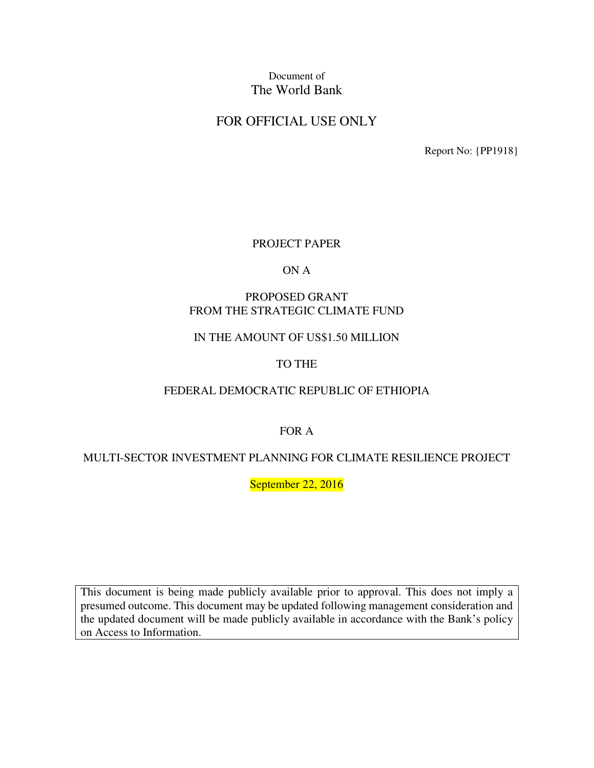# Document of The World Bank

# FOR OFFICIAL USE ONLY

Report No: {PP1918}

#### PROJECT PAPER

#### ON A

#### PROPOSED GRANT FROM THE STRATEGIC CLIMATE FUND

### IN THE AMOUNT OF US\$1.50 MILLION

### TO THE

### FEDERAL DEMOCRATIC REPUBLIC OF ETHIOPIA

FOR A

### MULTI-SECTOR INVESTMENT PLANNING FOR CLIMATE RESILIENCE PROJECT

September 22, 2016

This document is being made publicly available prior to approval. This does not imply a presumed outcome. This document may be updated following management consideration and the updated document will be made publicly available in accordance with the Bank's policy on Access to Information.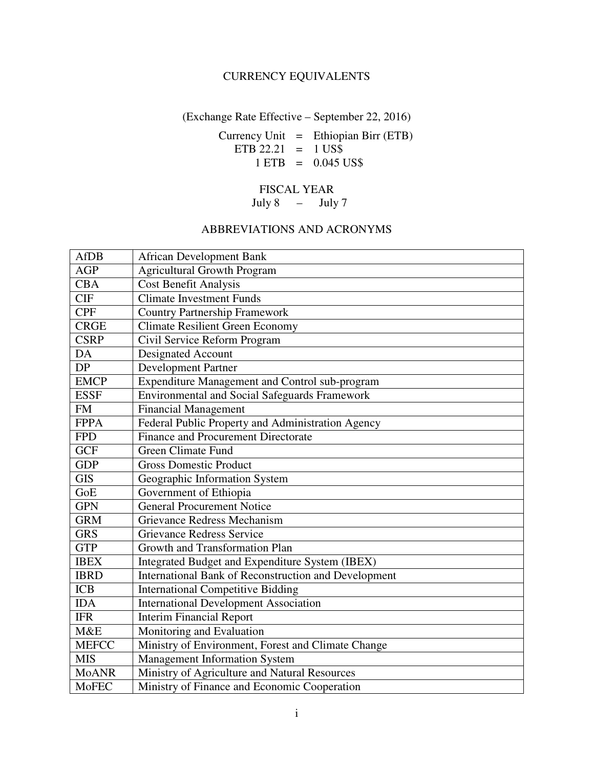## CURRENCY EQUIVALENTS

(Exchange Rate Effective – September 22, 2016)

Currency Unit  $=$  Ethiopian Birr (ETB) ETB 22.21 =  $1 \text{ US}\$$  $1 ETB = 0.045 US$ \$

## FISCAL YEAR

July 8 – July 7

## ABBREVIATIONS AND ACRONYMS

| <b>AfDB</b>  | <b>African Development Bank</b>                      |
|--------------|------------------------------------------------------|
| <b>AGP</b>   | <b>Agricultural Growth Program</b>                   |
| <b>CBA</b>   | <b>Cost Benefit Analysis</b>                         |
| <b>CIF</b>   | <b>Climate Investment Funds</b>                      |
| <b>CPF</b>   | <b>Country Partnership Framework</b>                 |
| <b>CRGE</b>  | <b>Climate Resilient Green Economy</b>               |
| <b>CSRP</b>  | Civil Service Reform Program                         |
| DA           | <b>Designated Account</b>                            |
| DP           | <b>Development Partner</b>                           |
| <b>EMCP</b>  | Expenditure Management and Control sub-program       |
| <b>ESSF</b>  | <b>Environmental and Social Safeguards Framework</b> |
| <b>FM</b>    | <b>Financial Management</b>                          |
| <b>FPPA</b>  | Federal Public Property and Administration Agency    |
| <b>FPD</b>   | Finance and Procurement Directorate                  |
| <b>GCF</b>   | <b>Green Climate Fund</b>                            |
| <b>GDP</b>   | <b>Gross Domestic Product</b>                        |
| <b>GIS</b>   | Geographic Information System                        |
| GoE          | Government of Ethiopia                               |
| <b>GPN</b>   | <b>General Procurement Notice</b>                    |
| <b>GRM</b>   | Grievance Redress Mechanism                          |
| <b>GRS</b>   | <b>Grievance Redress Service</b>                     |
| <b>GTP</b>   | Growth and Transformation Plan                       |
| <b>IBEX</b>  | Integrated Budget and Expenditure System (IBEX)      |
| <b>IBRD</b>  | International Bank of Reconstruction and Development |
| <b>ICB</b>   | <b>International Competitive Bidding</b>             |
| <b>IDA</b>   | <b>International Development Association</b>         |
| <b>IFR</b>   | <b>Interim Financial Report</b>                      |
| M&E          | Monitoring and Evaluation                            |
| <b>MEFCC</b> | Ministry of Environment, Forest and Climate Change   |
| <b>MIS</b>   | <b>Management Information System</b>                 |
| <b>MoANR</b> | Ministry of Agriculture and Natural Resources        |
| <b>MoFEC</b> | Ministry of Finance and Economic Cooperation         |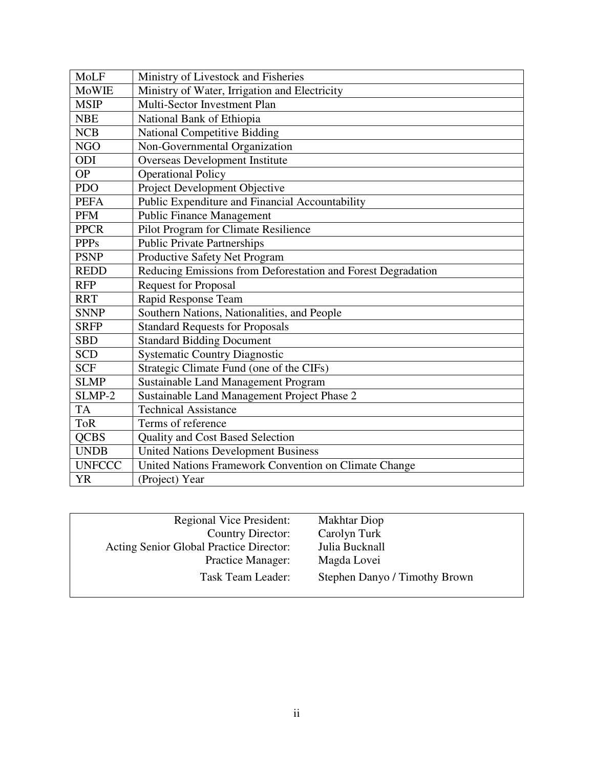| MoLF          | Ministry of Livestock and Fisheries                          |
|---------------|--------------------------------------------------------------|
| <b>MoWIE</b>  | Ministry of Water, Irrigation and Electricity                |
| <b>MSIP</b>   | Multi-Sector Investment Plan                                 |
| <b>NBE</b>    | National Bank of Ethiopia                                    |
| <b>NCB</b>    | <b>National Competitive Bidding</b>                          |
| <b>NGO</b>    | Non-Governmental Organization                                |
| ODI           | <b>Overseas Development Institute</b>                        |
| <b>OP</b>     | <b>Operational Policy</b>                                    |
| <b>PDO</b>    | Project Development Objective                                |
| <b>PEFA</b>   | Public Expenditure and Financial Accountability              |
| <b>PFM</b>    | <b>Public Finance Management</b>                             |
| <b>PPCR</b>   | Pilot Program for Climate Resilience                         |
| <b>PPPs</b>   | <b>Public Private Partnerships</b>                           |
| <b>PSNP</b>   | Productive Safety Net Program                                |
| <b>REDD</b>   | Reducing Emissions from Deforestation and Forest Degradation |
| <b>RFP</b>    | <b>Request for Proposal</b>                                  |
| <b>RRT</b>    | Rapid Response Team                                          |
| <b>SNNP</b>   | Southern Nations, Nationalities, and People                  |
| <b>SRFP</b>   | <b>Standard Requests for Proposals</b>                       |
| <b>SBD</b>    | <b>Standard Bidding Document</b>                             |
| <b>SCD</b>    | <b>Systematic Country Diagnostic</b>                         |
| <b>SCF</b>    | Strategic Climate Fund (one of the CIFs)                     |
| <b>SLMP</b>   | <b>Sustainable Land Management Program</b>                   |
| SLMP-2        | Sustainable Land Management Project Phase 2                  |
| <b>TA</b>     | <b>Technical Assistance</b>                                  |
| <b>ToR</b>    | Terms of reference                                           |
| <b>QCBS</b>   | <b>Quality and Cost Based Selection</b>                      |
| <b>UNDB</b>   | <b>United Nations Development Business</b>                   |
| <b>UNFCCC</b> | United Nations Framework Convention on Climate Change        |
| <b>YR</b>     | (Project) Year                                               |

| <b>Regional Vice President:</b>         | <b>Makhtar Diop</b>           |
|-----------------------------------------|-------------------------------|
| Country Director:                       | Carolyn Turk                  |
| Acting Senior Global Practice Director: | Julia Bucknall                |
| <b>Practice Manager:</b>                | Magda Lovei                   |
| Task Team Leader:                       | Stephen Danyo / Timothy Brown |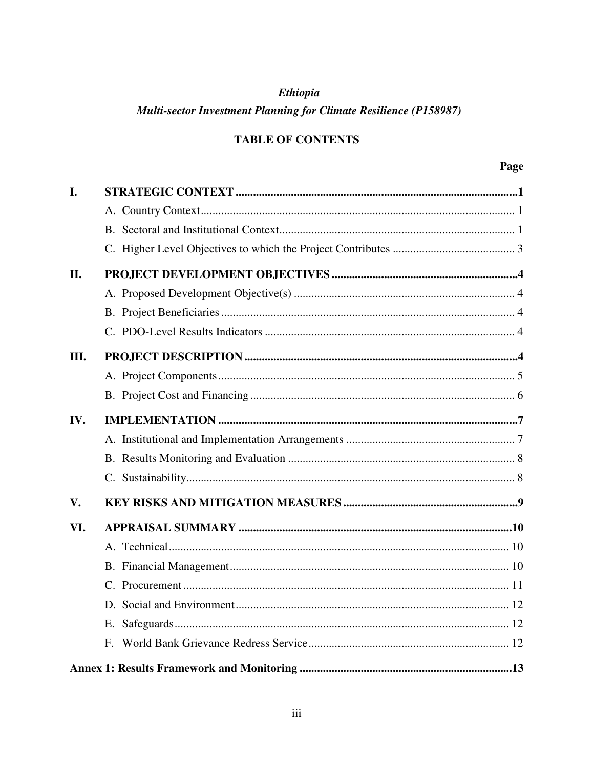# **Ethiopia**

# Multi-sector Investment Planning for Climate Resilience (P158987)

# **TABLE OF CONTENTS**

| I.  |             |
|-----|-------------|
|     |             |
|     |             |
|     |             |
| II. |             |
|     |             |
|     |             |
|     |             |
| Ш.  |             |
|     |             |
|     |             |
| IV. |             |
|     |             |
|     |             |
|     |             |
| V.  |             |
| VI. |             |
|     |             |
|     |             |
|     |             |
|     |             |
|     | Е.          |
|     | $F_{\cdot}$ |
|     |             |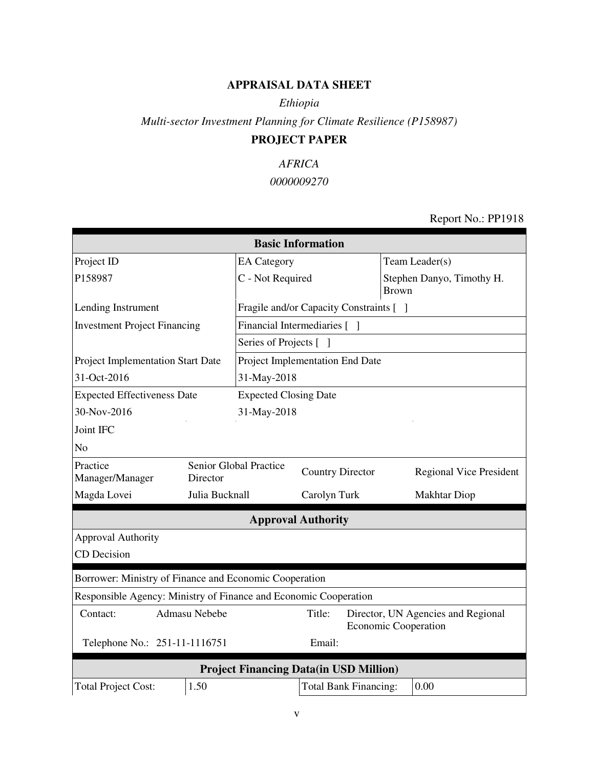## **APPRAISAL DATA SHEET**

## *Ethiopia*

*Multi-sector Investment Planning for Climate Resilience (P158987)*

# **PROJECT PAPER**

## *AFRICA*

# *0000009270*

## Report No.: PP1918

| <b>Basic Information</b>                                         |                    |                                                   |                                         |                                           |                                                                   |  |  |
|------------------------------------------------------------------|--------------------|---------------------------------------------------|-----------------------------------------|-------------------------------------------|-------------------------------------------------------------------|--|--|
| Project ID                                                       | <b>EA</b> Category |                                                   |                                         | Team Leader(s)                            |                                                                   |  |  |
| P158987                                                          | C - Not Required   |                                                   |                                         | Stephen Danyo, Timothy H.<br><b>Brown</b> |                                                                   |  |  |
| Lending Instrument                                               |                    |                                                   | Fragile and/or Capacity Constraints [ ] |                                           |                                                                   |  |  |
| <b>Investment Project Financing</b>                              |                    | Financial Intermediaries [ ]                      |                                         |                                           |                                                                   |  |  |
|                                                                  |                    | Series of Projects [ ]                            |                                         |                                           |                                                                   |  |  |
| Project Implementation Start Date                                |                    | Project Implementation End Date                   |                                         |                                           |                                                                   |  |  |
| 31-Oct-2016                                                      |                    | 31-May-2018                                       |                                         |                                           |                                                                   |  |  |
| <b>Expected Effectiveness Date</b>                               |                    | <b>Expected Closing Date</b>                      |                                         |                                           |                                                                   |  |  |
| 30-Nov-2016                                                      |                    | 31-May-2018                                       |                                         |                                           |                                                                   |  |  |
| Joint IFC                                                        |                    |                                                   |                                         |                                           |                                                                   |  |  |
| N <sub>o</sub>                                                   |                    |                                                   |                                         |                                           |                                                                   |  |  |
| Practice<br>Manager/Manager                                      | Director           | Senior Global Practice<br><b>Country Director</b> |                                         |                                           | <b>Regional Vice President</b>                                    |  |  |
| Magda Lovei                                                      | Julia Bucknall     | Carolyn Turk                                      |                                         |                                           | <b>Makhtar Diop</b>                                               |  |  |
|                                                                  |                    | <b>Approval Authority</b>                         |                                         |                                           |                                                                   |  |  |
| <b>Approval Authority</b>                                        |                    |                                                   |                                         |                                           |                                                                   |  |  |
| <b>CD</b> Decision                                               |                    |                                                   |                                         |                                           |                                                                   |  |  |
| Borrower: Ministry of Finance and Economic Cooperation           |                    |                                                   |                                         |                                           |                                                                   |  |  |
| Responsible Agency: Ministry of Finance and Economic Cooperation |                    |                                                   |                                         |                                           |                                                                   |  |  |
| Contact:                                                         | Admasu Nebebe      |                                                   | Title:                                  |                                           | Director, UN Agencies and Regional<br><b>Economic Cooperation</b> |  |  |
| Email:<br>Telephone No.: 251-11-1116751                          |                    |                                                   |                                         |                                           |                                                                   |  |  |
| <b>Project Financing Data(in USD Million)</b>                    |                    |                                                   |                                         |                                           |                                                                   |  |  |
| <b>Total Project Cost:</b>                                       | 1.50               |                                                   | <b>Total Bank Financing:</b>            |                                           | 0.00                                                              |  |  |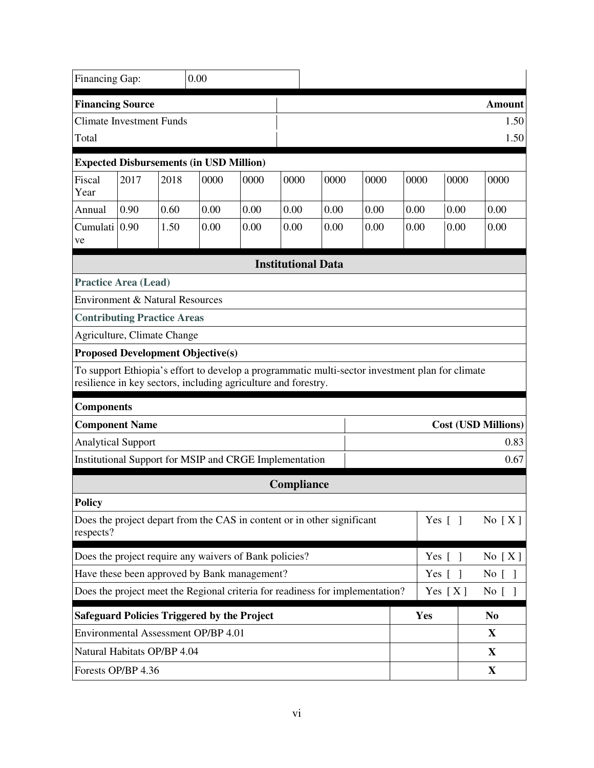| Financing Gap:                                                                       |      |      | 0.00                                                                                                                                                              |      |            |                           |                   |          |  |      |                            |
|--------------------------------------------------------------------------------------|------|------|-------------------------------------------------------------------------------------------------------------------------------------------------------------------|------|------------|---------------------------|-------------------|----------|--|------|----------------------------|
| <b>Financing Source</b><br><b>Climate Investment Funds</b><br>Total                  |      |      |                                                                                                                                                                   |      |            |                           |                   |          |  |      | Amount<br>1.50<br>1.50     |
|                                                                                      |      |      | <b>Expected Disbursements (in USD Million)</b>                                                                                                                    |      |            |                           |                   |          |  |      |                            |
| Fiscal<br>Year                                                                       | 2017 | 2018 | 0000                                                                                                                                                              | 0000 | 0000       | 0000                      | 0000              | 0000     |  | 0000 | 0000                       |
| Annual                                                                               | 0.90 | 0.60 | 0.00                                                                                                                                                              | 0.00 | 0.00       | 0.00                      | 0.00              | 0.00     |  | 0.00 | 0.00                       |
| Cumulati 0.90<br>ve                                                                  |      | 1.50 | 0.00                                                                                                                                                              | 0.00 | 0.00       | 0.00                      | 0.00              | 0.00     |  | 0.00 | 0.00                       |
|                                                                                      |      |      |                                                                                                                                                                   |      |            | <b>Institutional Data</b> |                   |          |  |      |                            |
| <b>Practice Area (Lead)</b>                                                          |      |      |                                                                                                                                                                   |      |            |                           |                   |          |  |      |                            |
| <b>Environment &amp; Natural Resources</b>                                           |      |      |                                                                                                                                                                   |      |            |                           |                   |          |  |      |                            |
| <b>Contributing Practice Areas</b>                                                   |      |      |                                                                                                                                                                   |      |            |                           |                   |          |  |      |                            |
| Agriculture, Climate Change                                                          |      |      |                                                                                                                                                                   |      |            |                           |                   |          |  |      |                            |
|                                                                                      |      |      | <b>Proposed Development Objective(s)</b>                                                                                                                          |      |            |                           |                   |          |  |      |                            |
|                                                                                      |      |      | To support Ethiopia's effort to develop a programmatic multi-sector investment plan for climate<br>resilience in key sectors, including agriculture and forestry. |      |            |                           |                   |          |  |      |                            |
| <b>Components</b>                                                                    |      |      |                                                                                                                                                                   |      |            |                           |                   |          |  |      |                            |
| <b>Component Name</b>                                                                |      |      |                                                                                                                                                                   |      |            |                           |                   |          |  |      | <b>Cost (USD Millions)</b> |
| <b>Analytical Support</b>                                                            |      |      |                                                                                                                                                                   |      |            |                           |                   |          |  |      | 0.83                       |
|                                                                                      |      |      | Institutional Support for MSIP and CRGE Implementation                                                                                                            |      |            |                           |                   |          |  |      | 0.67                       |
|                                                                                      |      |      |                                                                                                                                                                   |      | Compliance |                           |                   |          |  |      |                            |
| <b>Policy</b>                                                                        |      |      |                                                                                                                                                                   |      |            |                           |                   |          |  |      |                            |
| Does the project depart from the CAS in content or in other significant<br>respects? |      |      |                                                                                                                                                                   |      |            | Yes $[ \ ]$               |                   | No $[X]$ |  |      |                            |
| Does the project require any waivers of Bank policies?                               |      |      |                                                                                                                                                                   |      |            | Yes $[$ $]$               |                   | No $[X]$ |  |      |                            |
| Have these been approved by Bank management?                                         |      |      |                                                                                                                                                                   |      | Yes $[$    | $\blacksquare$            | No <sub>[</sub> ] |          |  |      |                            |
| Does the project meet the Regional criteria for readiness for implementation?        |      |      |                                                                                                                                                                   |      | Yes $[X]$  |                           | No [ ]            |          |  |      |                            |
| <b>Safeguard Policies Triggered by the Project</b>                                   |      |      |                                                                                                                                                                   | Yes  |            | N <sub>0</sub>            |                   |          |  |      |                            |
|                                                                                      |      |      | Environmental Assessment OP/BP 4.01                                                                                                                               |      |            |                           |                   |          |  |      | X                          |
| Natural Habitats OP/BP 4.04                                                          |      |      |                                                                                                                                                                   |      |            |                           |                   |          |  |      | X                          |
| Forests OP/BP 4.36                                                                   |      |      |                                                                                                                                                                   |      |            |                           |                   | X        |  |      |                            |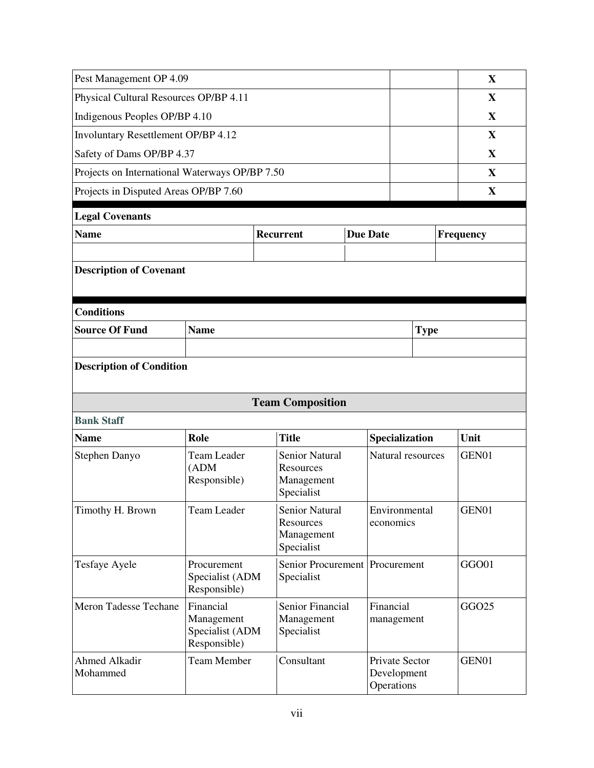| Pest Management OP 4.09                                                                                         |                                                            |                                                         |                                             | $\mathbf X$       |  |              |
|-----------------------------------------------------------------------------------------------------------------|------------------------------------------------------------|---------------------------------------------------------|---------------------------------------------|-------------------|--|--------------|
| Physical Cultural Resources OP/BP 4.11                                                                          |                                                            |                                                         |                                             |                   |  | X            |
| Indigenous Peoples OP/BP 4.10                                                                                   |                                                            |                                                         |                                             |                   |  | $\mathbf{X}$ |
| Involuntary Resettlement OP/BP 4.12                                                                             |                                                            |                                                         |                                             |                   |  | X            |
| Safety of Dams OP/BP 4.37                                                                                       |                                                            | X                                                       |                                             |                   |  |              |
| Projects on International Waterways OP/BP 7.50                                                                  |                                                            | X                                                       |                                             |                   |  |              |
| Projects in Disputed Areas OP/BP 7.60                                                                           |                                                            | X                                                       |                                             |                   |  |              |
| <b>Legal Covenants</b>                                                                                          |                                                            |                                                         |                                             |                   |  |              |
| <b>Name</b>                                                                                                     |                                                            | <b>Recurrent</b>                                        | <b>Due Date</b>                             |                   |  | Frequency    |
|                                                                                                                 |                                                            |                                                         |                                             |                   |  |              |
| <b>Description of Covenant</b>                                                                                  |                                                            |                                                         |                                             |                   |  |              |
|                                                                                                                 |                                                            |                                                         |                                             |                   |  |              |
| <b>Conditions</b>                                                                                               |                                                            |                                                         |                                             |                   |  |              |
| <b>Source Of Fund</b>                                                                                           | <b>Name</b>                                                |                                                         |                                             | <b>Type</b>       |  |              |
|                                                                                                                 |                                                            |                                                         |                                             |                   |  |              |
| <b>Description of Condition</b>                                                                                 |                                                            |                                                         |                                             |                   |  |              |
|                                                                                                                 |                                                            | <b>Team Composition</b>                                 |                                             |                   |  |              |
| <b>Bank Staff</b>                                                                                               |                                                            |                                                         |                                             |                   |  |              |
| <b>Name</b>                                                                                                     | Role                                                       | <b>Title</b>                                            | Specialization                              |                   |  | Unit         |
| Stephen Danyo                                                                                                   | <b>Team Leader</b><br>(ADM)<br>Responsible)                | Senior Natural<br>Resources<br>Management<br>Specialist |                                             | Natural resources |  | GEN01        |
| Timothy H. Brown                                                                                                | Team Leader                                                | Senior Natural<br>Resources<br>Management<br>Specialist | Environmental<br>economics                  |                   |  | GEN01        |
| Senior Procurement Procurement<br>Tesfaye Ayele<br>Procurement<br>Specialist (ADM<br>Specialist<br>Responsible) |                                                            |                                                         |                                             |                   |  | GGO01        |
| Meron Tadesse Techane                                                                                           | Financial<br>Management<br>Specialist (ADM<br>Responsible) | Senior Financial<br>Management<br>Specialist            | Financial<br>management                     |                   |  | GGO25        |
| Ahmed Alkadir<br>Mohammed                                                                                       | <b>Team Member</b>                                         | Consultant                                              | Private Sector<br>Development<br>Operations |                   |  | GEN01        |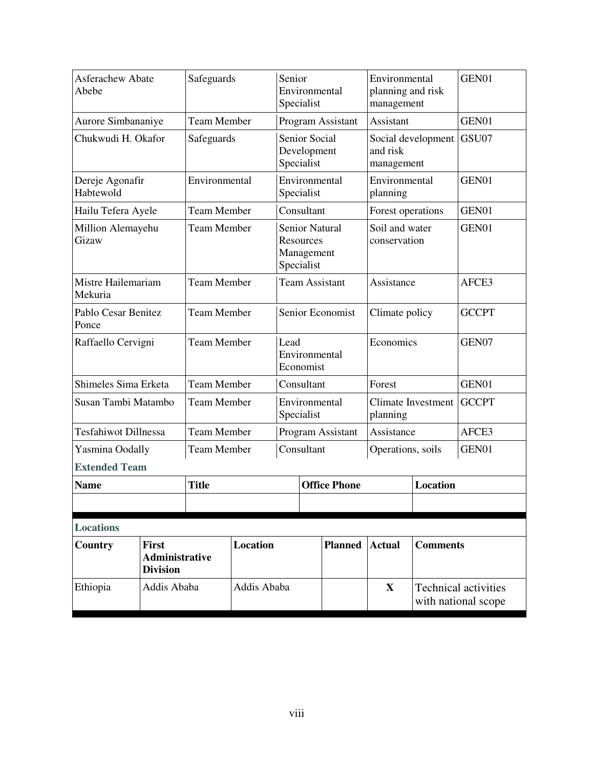| Asferachew Abate<br>Abebe                                           |  | Safeguards         |                       | Senior                             | Environmental<br>Specialist                                    |                                       | Environmental<br>planning and risk<br>management |                                                    | GEN01 |
|---------------------------------------------------------------------|--|--------------------|-----------------------|------------------------------------|----------------------------------------------------------------|---------------------------------------|--------------------------------------------------|----------------------------------------------------|-------|
| Aurore Simbananiye                                                  |  | <b>Team Member</b> |                       |                                    |                                                                | Program Assistant                     | Assistant                                        |                                                    | GEN01 |
| Chukwudi H. Okafor                                                  |  | Safeguards         |                       |                                    | <b>Senior Social</b><br>Development<br>Specialist              |                                       | and risk<br>management                           | Social development                                 | GSU07 |
| Dereje Agonafir<br>Habtewold                                        |  | Environmental      |                       |                                    | Environmental<br>Specialist                                    |                                       | Environmental<br>planning                        |                                                    | GEN01 |
| Hailu Tefera Ayele                                                  |  | <b>Team Member</b> |                       |                                    | Consultant                                                     |                                       | Forest operations                                |                                                    | GEN01 |
| Million Alemayehu<br>Gizaw                                          |  | <b>Team Member</b> |                       |                                    | <b>Senior Natural</b><br>Resources<br>Management<br>Specialist |                                       | Soil and water<br>conservation                   |                                                    | GEN01 |
| Mistre Hailemariam<br>Mekuria                                       |  | <b>Team Member</b> | <b>Team Assistant</b> |                                    |                                                                |                                       | Assistance                                       |                                                    | AFCE3 |
| Pablo Cesar Benitez<br>Ponce                                        |  | <b>Team Member</b> |                       | Senior Economist                   |                                                                | Climate policy                        |                                                  | <b>GCCPT</b>                                       |       |
| Raffaello Cervigni                                                  |  | <b>Team Member</b> |                       | Lead<br>Environmental<br>Economist |                                                                | Economics                             |                                                  | GEN07                                              |       |
| Shimeles Sima Erketa                                                |  | <b>Team Member</b> |                       |                                    | Consultant                                                     |                                       | Forest                                           |                                                    | GEN01 |
| Susan Tambi Matambo                                                 |  | <b>Team Member</b> |                       | Environmental<br>Specialist        |                                                                | <b>Climate Investment</b><br>planning |                                                  | <b>GCCPT</b>                                       |       |
| <b>Tesfahiwot Dillnessa</b>                                         |  | <b>Team Member</b> |                       |                                    | Program Assistant                                              |                                       | Assistance                                       |                                                    | AFCE3 |
| Yasmina Oodally                                                     |  |                    | <b>Team Member</b>    |                                    | Consultant                                                     |                                       | Operations, soils                                |                                                    | GEN01 |
| <b>Extended Team</b>                                                |  |                    |                       |                                    |                                                                |                                       |                                                  |                                                    |       |
| <b>Name</b>                                                         |  | <b>Title</b>       |                       | <b>Office Phone</b>                |                                                                |                                       | <b>Location</b>                                  |                                                    |       |
|                                                                     |  |                    |                       |                                    |                                                                |                                       |                                                  |                                                    |       |
| <b>Locations</b>                                                    |  |                    |                       |                                    |                                                                |                                       |                                                  |                                                    |       |
| Country<br><b>First</b><br><b>Administrative</b><br><b>Division</b> |  | Location           |                       |                                    | <b>Planned</b>                                                 | <b>Actual</b>                         | <b>Comments</b>                                  |                                                    |       |
| Ethiopia<br>Addis Ababa                                             |  | Addis Ababa        |                       |                                    |                                                                | $\mathbf{X}$                          |                                                  | <b>Technical activities</b><br>with national scope |       |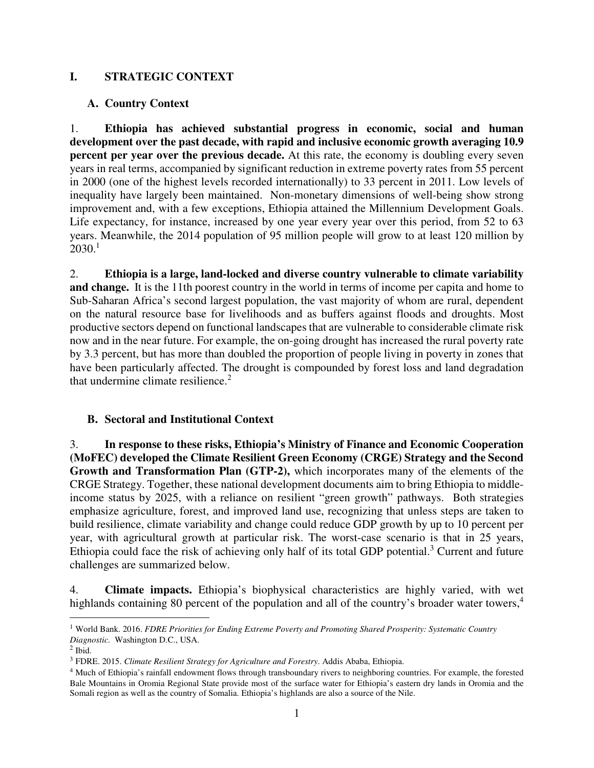#### **I. STRATEGIC CONTEXT**

#### **A. Country Context**

1. **Ethiopia has achieved substantial progress in economic, social and human development over the past decade, with rapid and inclusive economic growth averaging 10.9 percent per year over the previous decade.** At this rate, the economy is doubling every seven years in real terms, accompanied by significant reduction in extreme poverty rates from 55 percent in 2000 (one of the highest levels recorded internationally) to 33 percent in 2011. Low levels of inequality have largely been maintained. Non-monetary dimensions of well-being show strong improvement and, with a few exceptions, Ethiopia attained the Millennium Development Goals. Life expectancy, for instance, increased by one year every year over this period, from 52 to 63 years. Meanwhile, the 2014 population of 95 million people will grow to at least 120 million by  $2030.<sup>1</sup>$ 

2. **Ethiopia is a large, land-locked and diverse country vulnerable to climate variability and change.** It is the 11th poorest country in the world in terms of income per capita and home to Sub-Saharan Africa's second largest population, the vast majority of whom are rural, dependent on the natural resource base for livelihoods and as buffers against floods and droughts. Most productive sectors depend on functional landscapes that are vulnerable to considerable climate risk now and in the near future. For example, the on-going drought has increased the rural poverty rate by 3.3 percent, but has more than doubled the proportion of people living in poverty in zones that have been particularly affected. The drought is compounded by forest loss and land degradation that undermine climate resilience. $2$ 

#### **B. Sectoral and Institutional Context**

3. **In response to these risks, Ethiopia's Ministry of Finance and Economic Cooperation (MoFEC) developed the Climate Resilient Green Economy (CRGE) Strategy and the Second Growth and Transformation Plan (GTP-2),** which incorporates many of the elements of the CRGE Strategy. Together, these national development documents aim to bring Ethiopia to middleincome status by 2025, with a reliance on resilient "green growth" pathways. Both strategies emphasize agriculture, forest, and improved land use, recognizing that unless steps are taken to build resilience, climate variability and change could reduce GDP growth by up to 10 percent per year, with agricultural growth at particular risk. The worst-case scenario is that in 25 years, Ethiopia could face the risk of achieving only half of its total GDP potential.<sup>3</sup> Current and future challenges are summarized below.

4. **Climate impacts.** Ethiopia's biophysical characteristics are highly varied, with wet highlands containing 80 percent of the population and all of the country's broader water towers,<sup>4</sup>

<sup>&</sup>lt;u>.</u> <sup>1</sup> World Bank. 2016. *FDRE Priorities for Ending Extreme Poverty and Promoting Shared Prosperity: Systematic Country Diagnostic.* Washington D.C., USA.

 $<sup>2</sup>$  Ibid.</sup>

<sup>3</sup> FDRE. 2015. *Climate Resilient Strategy for Agriculture and Forestry*. Addis Ababa, Ethiopia.

<sup>&</sup>lt;sup>4</sup> Much of Ethiopia's rainfall endowment flows through transboundary rivers to neighboring countries. For example, the forested Bale Mountains in Oromia Regional State provide most of the surface water for Ethiopia's eastern dry lands in Oromia and the Somali region as well as the country of Somalia. Ethiopia's highlands are also a source of the Nile.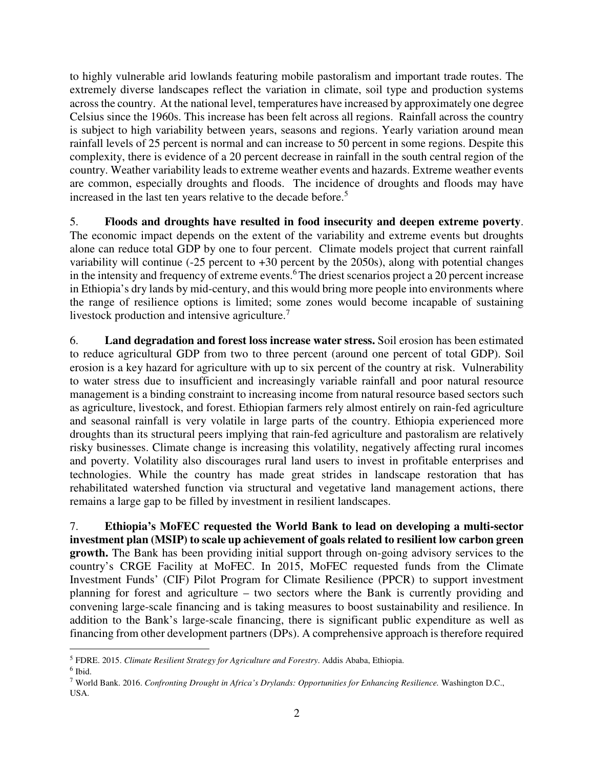to highly vulnerable arid lowlands featuring mobile pastoralism and important trade routes. The extremely diverse landscapes reflect the variation in climate, soil type and production systems across the country. At the national level, temperatures have increased by approximately one degree Celsius since the 1960s. This increase has been felt across all regions. Rainfall across the country is subject to high variability between years, seasons and regions. Yearly variation around mean rainfall levels of 25 percent is normal and can increase to 50 percent in some regions. Despite this complexity, there is evidence of a 20 percent decrease in rainfall in the south central region of the country. Weather variability leads to extreme weather events and hazards. Extreme weather events are common, especially droughts and floods. The incidence of droughts and floods may have increased in the last ten years relative to the decade before.<sup>5</sup>

5. **Floods and droughts have resulted in food insecurity and deepen extreme poverty**. The economic impact depends on the extent of the variability and extreme events but droughts alone can reduce total GDP by one to four percent. Climate models project that current rainfall variability will continue  $(-25)$  percent to  $+30$  percent by the 2050s), along with potential changes in the intensity and frequency of extreme events.<sup>6</sup>The driest scenarios project a 20 percent increase in Ethiopia's dry lands by mid-century, and this would bring more people into environments where the range of resilience options is limited; some zones would become incapable of sustaining livestock production and intensive agriculture.<sup>7</sup>

6. **Land degradation and forest loss increase water stress.** Soil erosion has been estimated to reduce agricultural GDP from two to three percent (around one percent of total GDP). Soil erosion is a key hazard for agriculture with up to six percent of the country at risk. Vulnerability to water stress due to insufficient and increasingly variable rainfall and poor natural resource management is a binding constraint to increasing income from natural resource based sectors such as agriculture, livestock, and forest. Ethiopian farmers rely almost entirely on rain-fed agriculture and seasonal rainfall is very volatile in large parts of the country. Ethiopia experienced more droughts than its structural peers implying that rain-fed agriculture and pastoralism are relatively risky businesses. Climate change is increasing this volatility, negatively affecting rural incomes and poverty. Volatility also discourages rural land users to invest in profitable enterprises and technologies. While the country has made great strides in landscape restoration that has rehabilitated watershed function via structural and vegetative land management actions, there remains a large gap to be filled by investment in resilient landscapes.

7. **Ethiopia's MoFEC requested the World Bank to lead on developing a multi-sector investment plan (MSIP) to scale up achievement of goals related to resilient low carbon green growth.** The Bank has been providing initial support through on-going advisory services to the country's CRGE Facility at MoFEC. In 2015, MoFEC requested funds from the Climate Investment Funds' (CIF) Pilot Program for Climate Resilience (PPCR) to support investment planning for forest and agriculture – two sectors where the Bank is currently providing and convening large-scale financing and is taking measures to boost sustainability and resilience. In addition to the Bank's large-scale financing, there is significant public expenditure as well as financing from other development partners (DPs). A comprehensive approach is therefore required

 $\overline{a}$ <sup>5</sup> FDRE. 2015. *Climate Resilient Strategy for Agriculture and Forestry*. Addis Ababa, Ethiopia.

<sup>6</sup> Ibid.

<sup>7</sup> World Bank. 2016. *Confronting Drought in Africa's Drylands: Opportunities for Enhancing Resilience.* Washington D.C., USA.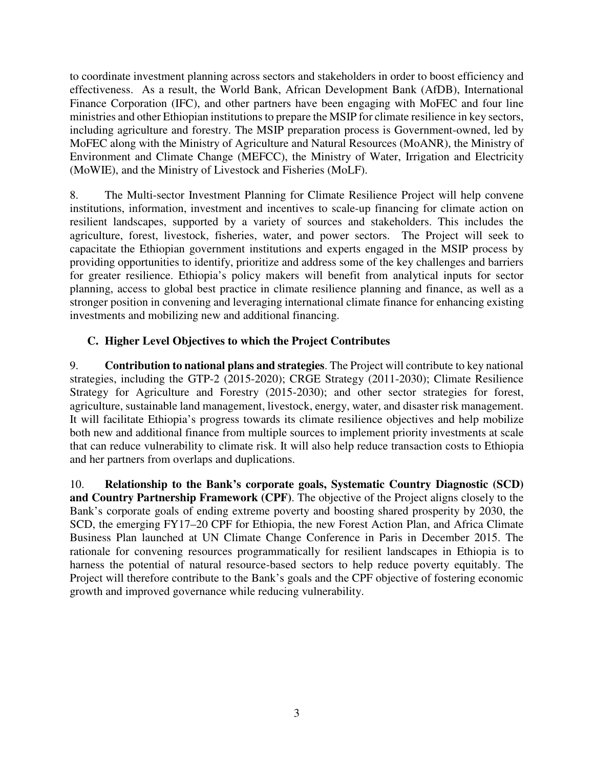to coordinate investment planning across sectors and stakeholders in order to boost efficiency and effectiveness. As a result, the World Bank, African Development Bank (AfDB), International Finance Corporation (IFC), and other partners have been engaging with MoFEC and four line ministries and other Ethiopian institutions to prepare the MSIP for climate resilience in key sectors, including agriculture and forestry. The MSIP preparation process is Government-owned, led by MoFEC along with the Ministry of Agriculture and Natural Resources (MoANR), the Ministry of Environment and Climate Change (MEFCC), the Ministry of Water, Irrigation and Electricity (MoWIE), and the Ministry of Livestock and Fisheries (MoLF).

8. The Multi-sector Investment Planning for Climate Resilience Project will help convene institutions, information, investment and incentives to scale-up financing for climate action on resilient landscapes, supported by a variety of sources and stakeholders. This includes the agriculture, forest, livestock, fisheries, water, and power sectors. The Project will seek to capacitate the Ethiopian government institutions and experts engaged in the MSIP process by providing opportunities to identify, prioritize and address some of the key challenges and barriers for greater resilience. Ethiopia's policy makers will benefit from analytical inputs for sector planning, access to global best practice in climate resilience planning and finance, as well as a stronger position in convening and leveraging international climate finance for enhancing existing investments and mobilizing new and additional financing.

# **C. Higher Level Objectives to which the Project Contributes**

9. **Contribution to national plans and strategies**. The Project will contribute to key national strategies, including the GTP-2 (2015-2020); CRGE Strategy (2011-2030); Climate Resilience Strategy for Agriculture and Forestry (2015-2030); and other sector strategies for forest, agriculture, sustainable land management, livestock, energy, water, and disaster risk management. It will facilitate Ethiopia's progress towards its climate resilience objectives and help mobilize both new and additional finance from multiple sources to implement priority investments at scale that can reduce vulnerability to climate risk. It will also help reduce transaction costs to Ethiopia and her partners from overlaps and duplications.

10. **Relationship to the Bank's corporate goals, Systematic Country Diagnostic (SCD) and Country Partnership Framework (CPF)**. The objective of the Project aligns closely to the Bank's corporate goals of ending extreme poverty and boosting shared prosperity by 2030, the SCD, the emerging FY17–20 CPF for Ethiopia, the new Forest Action Plan, and Africa Climate Business Plan launched at UN Climate Change Conference in Paris in December 2015. The rationale for convening resources programmatically for resilient landscapes in Ethiopia is to harness the potential of natural resource-based sectors to help reduce poverty equitably. The Project will therefore contribute to the Bank's goals and the CPF objective of fostering economic growth and improved governance while reducing vulnerability.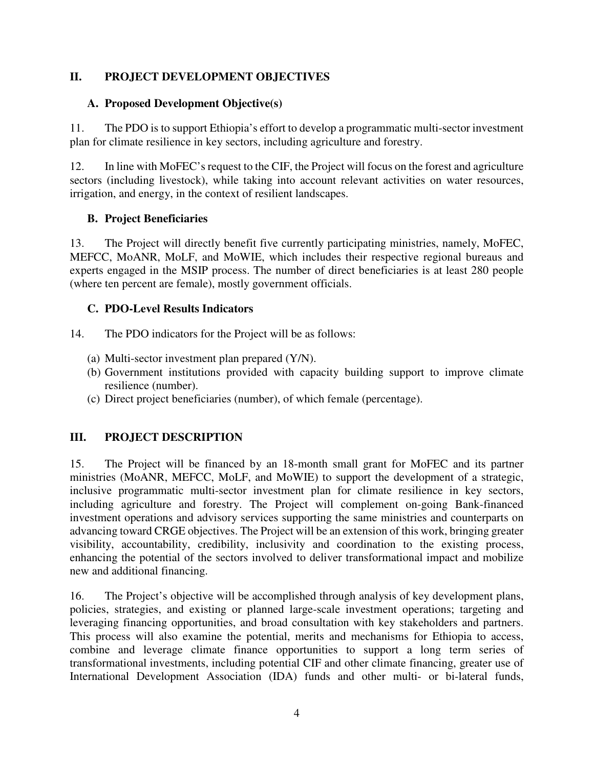## **II. PROJECT DEVELOPMENT OBJECTIVES**

## **A. Proposed Development Objective(s)**

11. The PDO is to support Ethiopia's effort to develop a programmatic multi-sector investment plan for climate resilience in key sectors, including agriculture and forestry.

12. In line with MoFEC's request to the CIF, the Project will focus on the forest and agriculture sectors (including livestock), while taking into account relevant activities on water resources, irrigation, and energy, in the context of resilient landscapes.

## **B. Project Beneficiaries**

13. The Project will directly benefit five currently participating ministries, namely, MoFEC, MEFCC, MoANR, MoLF, and MoWIE, which includes their respective regional bureaus and experts engaged in the MSIP process. The number of direct beneficiaries is at least 280 people (where ten percent are female), mostly government officials.

## **C. PDO-Level Results Indicators**

14. The PDO indicators for the Project will be as follows:

- (a) Multi-sector investment plan prepared (Y/N).
- (b) Government institutions provided with capacity building support to improve climate resilience (number).
- (c) Direct project beneficiaries (number), of which female (percentage).

# **III. PROJECT DESCRIPTION**

15. The Project will be financed by an 18-month small grant for MoFEC and its partner ministries (MoANR, MEFCC, MoLF, and MoWIE) to support the development of a strategic, inclusive programmatic multi-sector investment plan for climate resilience in key sectors, including agriculture and forestry. The Project will complement on-going Bank-financed investment operations and advisory services supporting the same ministries and counterparts on advancing toward CRGE objectives. The Project will be an extension of this work, bringing greater visibility, accountability, credibility, inclusivity and coordination to the existing process, enhancing the potential of the sectors involved to deliver transformational impact and mobilize new and additional financing.

16. The Project's objective will be accomplished through analysis of key development plans, policies, strategies, and existing or planned large-scale investment operations; targeting and leveraging financing opportunities, and broad consultation with key stakeholders and partners. This process will also examine the potential, merits and mechanisms for Ethiopia to access, combine and leverage climate finance opportunities to support a long term series of transformational investments, including potential CIF and other climate financing, greater use of International Development Association (IDA) funds and other multi- or bi-lateral funds,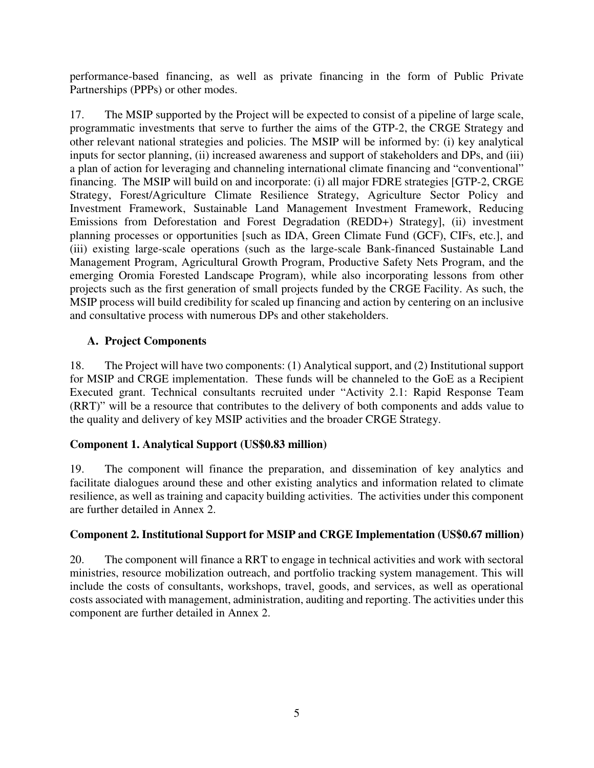performance-based financing, as well as private financing in the form of Public Private Partnerships (PPPs) or other modes.

17. The MSIP supported by the Project will be expected to consist of a pipeline of large scale, programmatic investments that serve to further the aims of the GTP-2, the CRGE Strategy and other relevant national strategies and policies. The MSIP will be informed by: (i) key analytical inputs for sector planning, (ii) increased awareness and support of stakeholders and DPs, and (iii) a plan of action for leveraging and channeling international climate financing and "conventional" financing. The MSIP will build on and incorporate: (i) all major FDRE strategies [GTP-2, CRGE Strategy, Forest/Agriculture Climate Resilience Strategy, Agriculture Sector Policy and Investment Framework, Sustainable Land Management Investment Framework, Reducing Emissions from Deforestation and Forest Degradation (REDD+) Strategy], (ii) investment planning processes or opportunities [such as IDA, Green Climate Fund (GCF), CIFs, etc.], and (iii) existing large-scale operations (such as the large-scale Bank-financed Sustainable Land Management Program, Agricultural Growth Program, Productive Safety Nets Program, and the emerging Oromia Forested Landscape Program), while also incorporating lessons from other projects such as the first generation of small projects funded by the CRGE Facility. As such, the MSIP process will build credibility for scaled up financing and action by centering on an inclusive and consultative process with numerous DPs and other stakeholders.

## **A. Project Components**

18. The Project will have two components: (1) Analytical support, and (2) Institutional support for MSIP and CRGE implementation. These funds will be channeled to the GoE as a Recipient Executed grant. Technical consultants recruited under "Activity 2.1: Rapid Response Team (RRT)" will be a resource that contributes to the delivery of both components and adds value to the quality and delivery of key MSIP activities and the broader CRGE Strategy.

# **Component 1. Analytical Support (US\$0.83 million)**

19. The component will finance the preparation, and dissemination of key analytics and facilitate dialogues around these and other existing analytics and information related to climate resilience, as well as training and capacity building activities. The activities under this component are further detailed in Annex 2.

### **Component 2. Institutional Support for MSIP and CRGE Implementation (US\$0.67 million)**

20. The component will finance a RRT to engage in technical activities and work with sectoral ministries, resource mobilization outreach, and portfolio tracking system management. This will include the costs of consultants, workshops, travel, goods, and services, as well as operational costs associated with management, administration, auditing and reporting. The activities under this component are further detailed in Annex 2.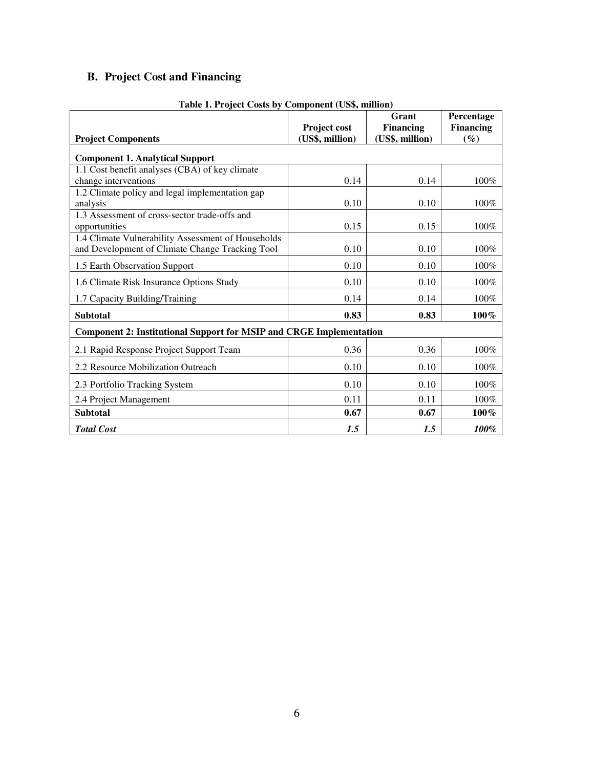# **B. Project Cost and Financing**

| <b>Project Components</b>                                                                             | Project cost<br>(US\$, million) | Grant<br><b>Financing</b><br>(US\$, million) | Percentage<br><b>Financing</b><br>$(\%)$ |
|-------------------------------------------------------------------------------------------------------|---------------------------------|----------------------------------------------|------------------------------------------|
| <b>Component 1. Analytical Support</b>                                                                |                                 |                                              |                                          |
| 1.1 Cost benefit analyses (CBA) of key climate<br>change interventions                                | 0.14                            | 0.14                                         | 100%                                     |
| 1.2 Climate policy and legal implementation gap<br>analysis                                           | 0.10                            | 0.10                                         | 100%                                     |
| 1.3 Assessment of cross-sector trade-offs and<br>opportunities                                        | 0.15                            | 0.15                                         | 100%                                     |
| 1.4 Climate Vulnerability Assessment of Households<br>and Development of Climate Change Tracking Tool | 0.10                            | 0.10                                         | 100%                                     |
| 1.5 Earth Observation Support                                                                         | 0.10                            | 0.10                                         | 100%                                     |
| 1.6 Climate Risk Insurance Options Study                                                              | 0.10                            | 0.10                                         | 100%                                     |
| 1.7 Capacity Building/Training                                                                        | 0.14                            | 0.14                                         | 100%                                     |
| <b>Subtotal</b>                                                                                       | 0.83                            | 0.83                                         | 100%                                     |
| <b>Component 2: Institutional Support for MSIP and CRGE Implementation</b>                            |                                 |                                              |                                          |
| 2.1 Rapid Response Project Support Team                                                               | 0.36                            | 0.36                                         | 100%                                     |
| 2.2 Resource Mobilization Outreach                                                                    | 0.10                            | 0.10                                         | 100%                                     |
| 2.3 Portfolio Tracking System                                                                         | 0.10                            | 0.10                                         | 100%                                     |
| 2.4 Project Management                                                                                | 0.11                            | 0.11                                         | 100%                                     |
| <b>Subtotal</b>                                                                                       | 0.67                            | 0.67                                         | 100%                                     |
| <b>Total Cost</b>                                                                                     | 1.5                             | 1.5                                          | 100%                                     |

**Table 1. Project Costs by Component (US\$, million)**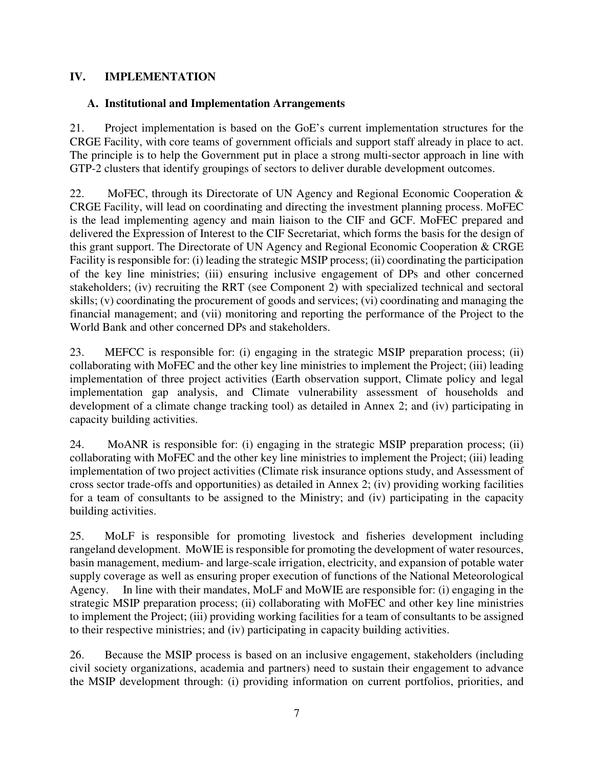### **IV. IMPLEMENTATION**

#### **A. Institutional and Implementation Arrangements**

21. Project implementation is based on the GoE's current implementation structures for the CRGE Facility, with core teams of government officials and support staff already in place to act. The principle is to help the Government put in place a strong multi-sector approach in line with GTP-2 clusters that identify groupings of sectors to deliver durable development outcomes.

22. MoFEC, through its Directorate of UN Agency and Regional Economic Cooperation & CRGE Facility, will lead on coordinating and directing the investment planning process. MoFEC is the lead implementing agency and main liaison to the CIF and GCF. MoFEC prepared and delivered the Expression of Interest to the CIF Secretariat, which forms the basis for the design of this grant support. The Directorate of UN Agency and Regional Economic Cooperation & CRGE Facility is responsible for: (i) leading the strategic MSIP process; (ii) coordinating the participation of the key line ministries; (iii) ensuring inclusive engagement of DPs and other concerned stakeholders; (iv) recruiting the RRT (see Component 2) with specialized technical and sectoral skills; (v) coordinating the procurement of goods and services; (vi) coordinating and managing the financial management; and (vii) monitoring and reporting the performance of the Project to the World Bank and other concerned DPs and stakeholders.

23. MEFCC is responsible for: (i) engaging in the strategic MSIP preparation process; (ii) collaborating with MoFEC and the other key line ministries to implement the Project; (iii) leading implementation of three project activities (Earth observation support, Climate policy and legal implementation gap analysis, and Climate vulnerability assessment of households and development of a climate change tracking tool) as detailed in Annex 2; and (iv) participating in capacity building activities.

24. MoANR is responsible for: (i) engaging in the strategic MSIP preparation process; (ii) collaborating with MoFEC and the other key line ministries to implement the Project; (iii) leading implementation of two project activities (Climate risk insurance options study, and Assessment of cross sector trade-offs and opportunities) as detailed in Annex 2; (iv) providing working facilities for a team of consultants to be assigned to the Ministry; and (iv) participating in the capacity building activities.

25. MoLF is responsible for promoting livestock and fisheries development including rangeland development. MoWIE is responsible for promoting the development of water resources, basin management, medium- and large-scale irrigation, electricity, and expansion of potable water supply coverage as well as ensuring proper execution of functions of the National Meteorological Agency. In line with their mandates, MoLF and MoWIE are responsible for: (i) engaging in the strategic MSIP preparation process; (ii) collaborating with MoFEC and other key line ministries to implement the Project; (iii) providing working facilities for a team of consultants to be assigned to their respective ministries; and (iv) participating in capacity building activities.

26. Because the MSIP process is based on an inclusive engagement, stakeholders (including civil society organizations, academia and partners) need to sustain their engagement to advance the MSIP development through: (i) providing information on current portfolios, priorities, and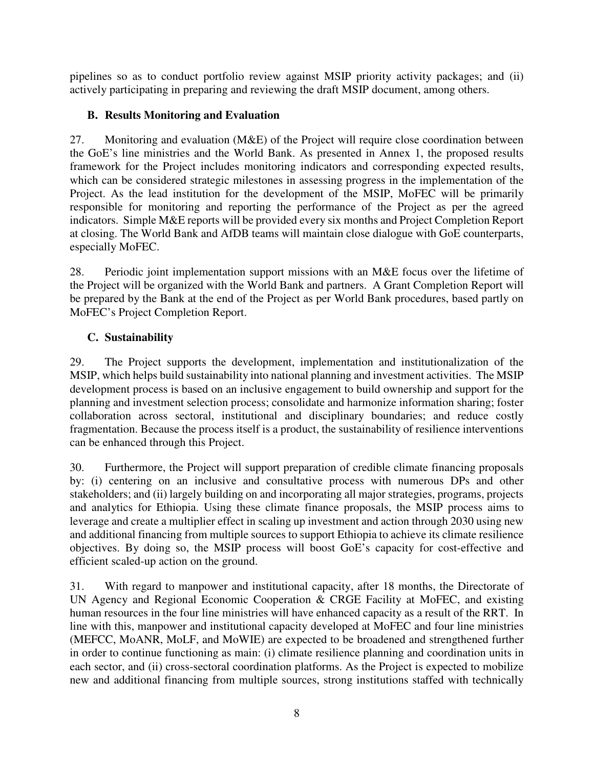pipelines so as to conduct portfolio review against MSIP priority activity packages; and (ii) actively participating in preparing and reviewing the draft MSIP document, among others.

# **B. Results Monitoring and Evaluation**

27. Monitoring and evaluation (M&E) of the Project will require close coordination between the GoE's line ministries and the World Bank. As presented in Annex 1, the proposed results framework for the Project includes monitoring indicators and corresponding expected results, which can be considered strategic milestones in assessing progress in the implementation of the Project. As the lead institution for the development of the MSIP, MoFEC will be primarily responsible for monitoring and reporting the performance of the Project as per the agreed indicators. Simple M&E reports will be provided every six months and Project Completion Report at closing. The World Bank and AfDB teams will maintain close dialogue with GoE counterparts, especially MoFEC.

28. Periodic joint implementation support missions with an M&E focus over the lifetime of the Project will be organized with the World Bank and partners. A Grant Completion Report will be prepared by the Bank at the end of the Project as per World Bank procedures, based partly on MoFEC's Project Completion Report.

# **C. Sustainability**

29. The Project supports the development, implementation and institutionalization of the MSIP, which helps build sustainability into national planning and investment activities. The MSIP development process is based on an inclusive engagement to build ownership and support for the planning and investment selection process; consolidate and harmonize information sharing; foster collaboration across sectoral, institutional and disciplinary boundaries; and reduce costly fragmentation. Because the process itself is a product, the sustainability of resilience interventions can be enhanced through this Project.

30. Furthermore, the Project will support preparation of credible climate financing proposals by: (i) centering on an inclusive and consultative process with numerous DPs and other stakeholders; and (ii) largely building on and incorporating all major strategies, programs, projects and analytics for Ethiopia. Using these climate finance proposals, the MSIP process aims to leverage and create a multiplier effect in scaling up investment and action through 2030 using new and additional financing from multiple sources to support Ethiopia to achieve its climate resilience objectives. By doing so, the MSIP process will boost GoE's capacity for cost-effective and efficient scaled-up action on the ground.

31. With regard to manpower and institutional capacity, after 18 months, the Directorate of UN Agency and Regional Economic Cooperation & CRGE Facility at MoFEC, and existing human resources in the four line ministries will have enhanced capacity as a result of the RRT. In line with this, manpower and institutional capacity developed at MoFEC and four line ministries (MEFCC, MoANR, MoLF, and MoWIE) are expected to be broadened and strengthened further in order to continue functioning as main: (i) climate resilience planning and coordination units in each sector, and (ii) cross-sectoral coordination platforms. As the Project is expected to mobilize new and additional financing from multiple sources, strong institutions staffed with technically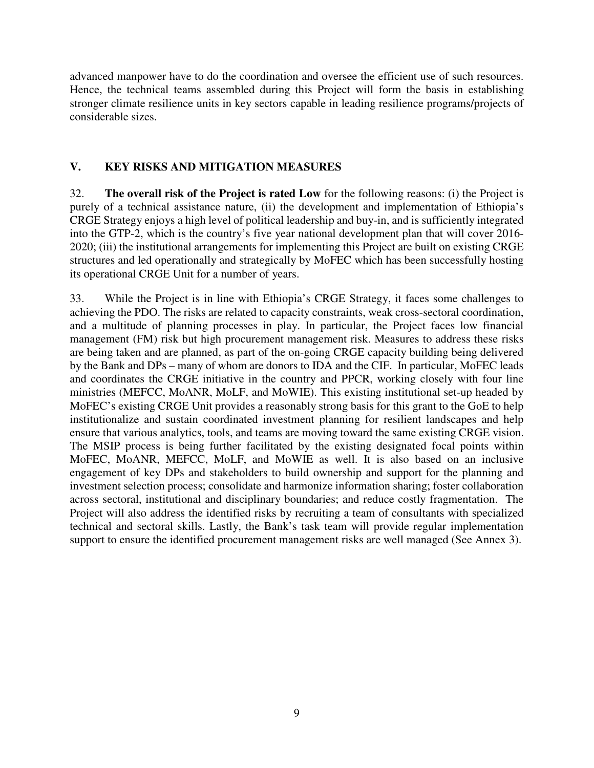advanced manpower have to do the coordination and oversee the efficient use of such resources. Hence, the technical teams assembled during this Project will form the basis in establishing stronger climate resilience units in key sectors capable in leading resilience programs/projects of considerable sizes.

#### **V. KEY RISKS AND MITIGATION MEASURES**

32. **The overall risk of the Project is rated Low** for the following reasons: (i) the Project is purely of a technical assistance nature, (ii) the development and implementation of Ethiopia's CRGE Strategy enjoys a high level of political leadership and buy-in, and is sufficiently integrated into the GTP-2, which is the country's five year national development plan that will cover 2016- 2020; (iii) the institutional arrangements for implementing this Project are built on existing CRGE structures and led operationally and strategically by MoFEC which has been successfully hosting its operational CRGE Unit for a number of years.

33. While the Project is in line with Ethiopia's CRGE Strategy, it faces some challenges to achieving the PDO. The risks are related to capacity constraints, weak cross-sectoral coordination, and a multitude of planning processes in play. In particular, the Project faces low financial management (FM) risk but high procurement management risk. Measures to address these risks are being taken and are planned, as part of the on-going CRGE capacity building being delivered by the Bank and DPs – many of whom are donors to IDA and the CIF. In particular, MoFEC leads and coordinates the CRGE initiative in the country and PPCR, working closely with four line ministries (MEFCC, MoANR, MoLF, and MoWIE). This existing institutional set-up headed by MoFEC's existing CRGE Unit provides a reasonably strong basis for this grant to the GoE to help institutionalize and sustain coordinated investment planning for resilient landscapes and help ensure that various analytics, tools, and teams are moving toward the same existing CRGE vision. The MSIP process is being further facilitated by the existing designated focal points within MoFEC, MoANR, MEFCC, MoLF, and MoWIE as well. It is also based on an inclusive engagement of key DPs and stakeholders to build ownership and support for the planning and investment selection process; consolidate and harmonize information sharing; foster collaboration across sectoral, institutional and disciplinary boundaries; and reduce costly fragmentation. The Project will also address the identified risks by recruiting a team of consultants with specialized technical and sectoral skills. Lastly, the Bank's task team will provide regular implementation support to ensure the identified procurement management risks are well managed (See Annex 3).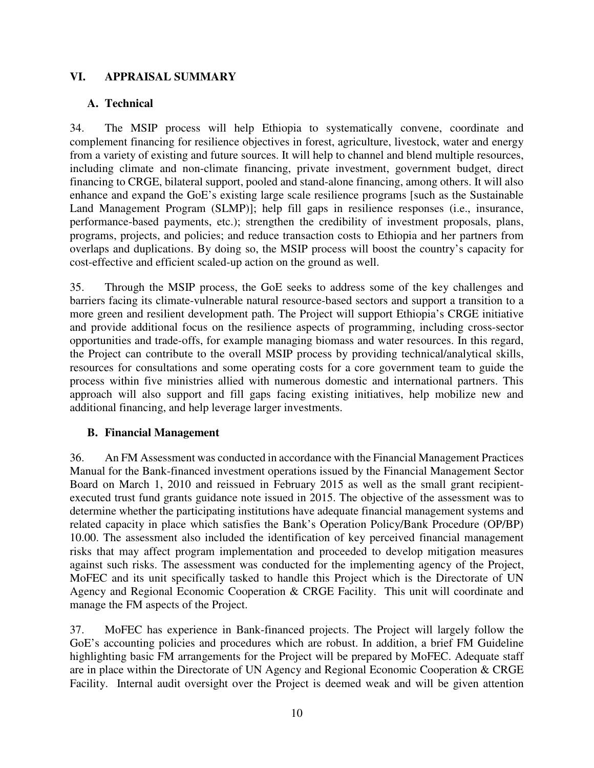### **VI. APPRAISAL SUMMARY**

#### **A. Technical**

34. The MSIP process will help Ethiopia to systematically convene, coordinate and complement financing for resilience objectives in forest, agriculture, livestock, water and energy from a variety of existing and future sources. It will help to channel and blend multiple resources, including climate and non-climate financing, private investment, government budget, direct financing to CRGE, bilateral support, pooled and stand-alone financing, among others. It will also enhance and expand the GoE's existing large scale resilience programs [such as the Sustainable Land Management Program (SLMP)]; help fill gaps in resilience responses (i.e., insurance, performance-based payments, etc.); strengthen the credibility of investment proposals, plans, programs, projects, and policies; and reduce transaction costs to Ethiopia and her partners from overlaps and duplications. By doing so, the MSIP process will boost the country's capacity for cost-effective and efficient scaled-up action on the ground as well.

35. Through the MSIP process, the GoE seeks to address some of the key challenges and barriers facing its climate-vulnerable natural resource-based sectors and support a transition to a more green and resilient development path. The Project will support Ethiopia's CRGE initiative and provide additional focus on the resilience aspects of programming, including cross-sector opportunities and trade-offs, for example managing biomass and water resources. In this regard, the Project can contribute to the overall MSIP process by providing technical/analytical skills, resources for consultations and some operating costs for a core government team to guide the process within five ministries allied with numerous domestic and international partners. This approach will also support and fill gaps facing existing initiatives, help mobilize new and additional financing, and help leverage larger investments.

#### **B. Financial Management**

36. An FM Assessment was conducted in accordance with the Financial Management Practices Manual for the Bank-financed investment operations issued by the Financial Management Sector Board on March 1, 2010 and reissued in February 2015 as well as the small grant recipientexecuted trust fund grants guidance note issued in 2015. The objective of the assessment was to determine whether the participating institutions have adequate financial management systems and related capacity in place which satisfies the Bank's Operation Policy/Bank Procedure (OP/BP) 10.00. The assessment also included the identification of key perceived financial management risks that may affect program implementation and proceeded to develop mitigation measures against such risks. The assessment was conducted for the implementing agency of the Project, MoFEC and its unit specifically tasked to handle this Project which is the Directorate of UN Agency and Regional Economic Cooperation & CRGE Facility. This unit will coordinate and manage the FM aspects of the Project.

37. MoFEC has experience in Bank-financed projects. The Project will largely follow the GoE's accounting policies and procedures which are robust. In addition, a brief FM Guideline highlighting basic FM arrangements for the Project will be prepared by MoFEC. Adequate staff are in place within the Directorate of UN Agency and Regional Economic Cooperation & CRGE Facility. Internal audit oversight over the Project is deemed weak and will be given attention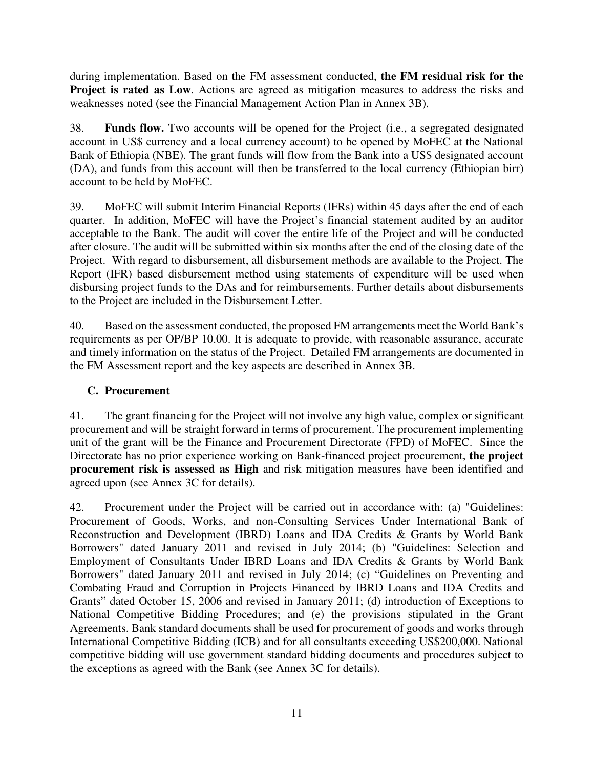during implementation. Based on the FM assessment conducted, **the FM residual risk for the Project is rated as Low.** Actions are agreed as mitigation measures to address the risks and weaknesses noted (see the Financial Management Action Plan in Annex 3B).

38. **Funds flow.** Two accounts will be opened for the Project (i.e., a segregated designated account in US\$ currency and a local currency account) to be opened by MoFEC at the National Bank of Ethiopia (NBE). The grant funds will flow from the Bank into a US\$ designated account (DA), and funds from this account will then be transferred to the local currency (Ethiopian birr) account to be held by MoFEC.

39. MoFEC will submit Interim Financial Reports (IFRs) within 45 days after the end of each quarter. In addition, MoFEC will have the Project's financial statement audited by an auditor acceptable to the Bank. The audit will cover the entire life of the Project and will be conducted after closure. The audit will be submitted within six months after the end of the closing date of the Project. With regard to disbursement, all disbursement methods are available to the Project. The Report (IFR) based disbursement method using statements of expenditure will be used when disbursing project funds to the DAs and for reimbursements. Further details about disbursements to the Project are included in the Disbursement Letter.

40. Based on the assessment conducted, the proposed FM arrangements meet the World Bank's requirements as per OP/BP 10.00. It is adequate to provide, with reasonable assurance, accurate and timely information on the status of the Project. Detailed FM arrangements are documented in the FM Assessment report and the key aspects are described in Annex 3B.

### **C. Procurement**

41. The grant financing for the Project will not involve any high value, complex or significant procurement and will be straight forward in terms of procurement. The procurement implementing unit of the grant will be the Finance and Procurement Directorate (FPD) of MoFEC. Since the Directorate has no prior experience working on Bank-financed project procurement, **the project procurement risk is assessed as High** and risk mitigation measures have been identified and agreed upon (see Annex 3C for details).

42. Procurement under the Project will be carried out in accordance with: (a) "Guidelines: Procurement of Goods, Works, and non-Consulting Services Under International Bank of Reconstruction and Development (IBRD) Loans and IDA Credits & Grants by World Bank Borrowers" dated January 2011 and revised in July 2014; (b) "Guidelines: Selection and Employment of Consultants Under IBRD Loans and IDA Credits & Grants by World Bank Borrowers" dated January 2011 and revised in July 2014; (c) "Guidelines on Preventing and Combating Fraud and Corruption in Projects Financed by IBRD Loans and IDA Credits and Grants" dated October 15, 2006 and revised in January 2011; (d) introduction of Exceptions to National Competitive Bidding Procedures; and (e) the provisions stipulated in the Grant Agreements. Bank standard documents shall be used for procurement of goods and works through International Competitive Bidding (ICB) and for all consultants exceeding US\$200,000. National competitive bidding will use government standard bidding documents and procedures subject to the exceptions as agreed with the Bank (see Annex 3C for details).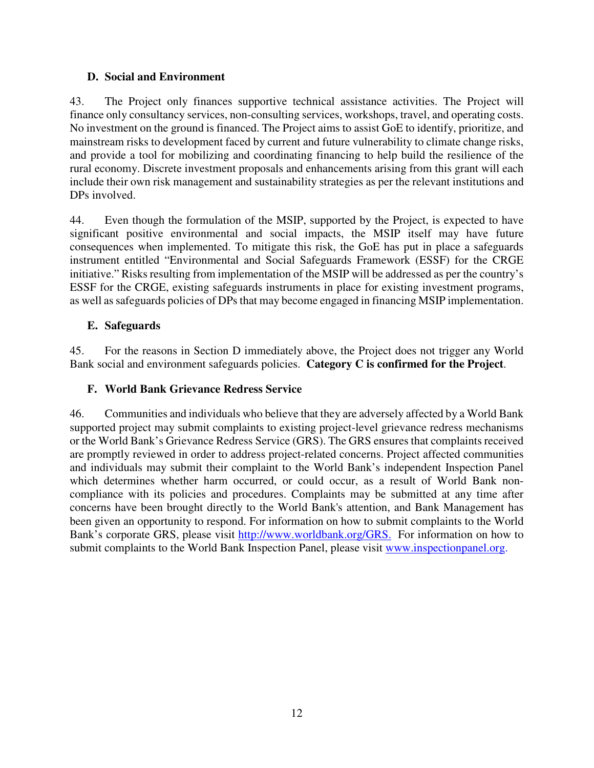#### **D. Social and Environment**

43. The Project only finances supportive technical assistance activities. The Project will finance only consultancy services, non-consulting services, workshops, travel, and operating costs. No investment on the ground is financed. The Project aims to assist GoE to identify, prioritize, and mainstream risks to development faced by current and future vulnerability to climate change risks, and provide a tool for mobilizing and coordinating financing to help build the resilience of the rural economy. Discrete investment proposals and enhancements arising from this grant will each include their own risk management and sustainability strategies as per the relevant institutions and DPs involved.

44. Even though the formulation of the MSIP, supported by the Project, is expected to have significant positive environmental and social impacts, the MSIP itself may have future consequences when implemented. To mitigate this risk, the GoE has put in place a safeguards instrument entitled "Environmental and Social Safeguards Framework (ESSF) for the CRGE initiative." Risks resulting from implementation of the MSIP will be addressed as per the country's ESSF for the CRGE, existing safeguards instruments in place for existing investment programs, as well as safeguards policies of DPs that may become engaged in financing MSIP implementation.

### **E. Safeguards**

45. For the reasons in Section D immediately above, the Project does not trigger any World Bank social and environment safeguards policies. **Category C is confirmed for the Project**.

### **F. World Bank Grievance Redress Service**

46. Communities and individuals who believe that they are adversely affected by a World Bank supported project may submit complaints to existing project-level grievance redress mechanisms or the World Bank's Grievance Redress Service (GRS). The GRS ensures that complaints received are promptly reviewed in order to address project-related concerns. Project affected communities and individuals may submit their complaint to the World Bank's independent Inspection Panel which determines whether harm occurred, or could occur, as a result of World Bank noncompliance with its policies and procedures. Complaints may be submitted at any time after concerns have been brought directly to the World Bank's attention, and Bank Management has been given an opportunity to respond. For information on how to submit complaints to the World Bank's corporate GRS, please visit http://www.worldbank.org/GRS. For information on how to submit complaints to the World Bank Inspection Panel, please visit www.inspectionpanel.org.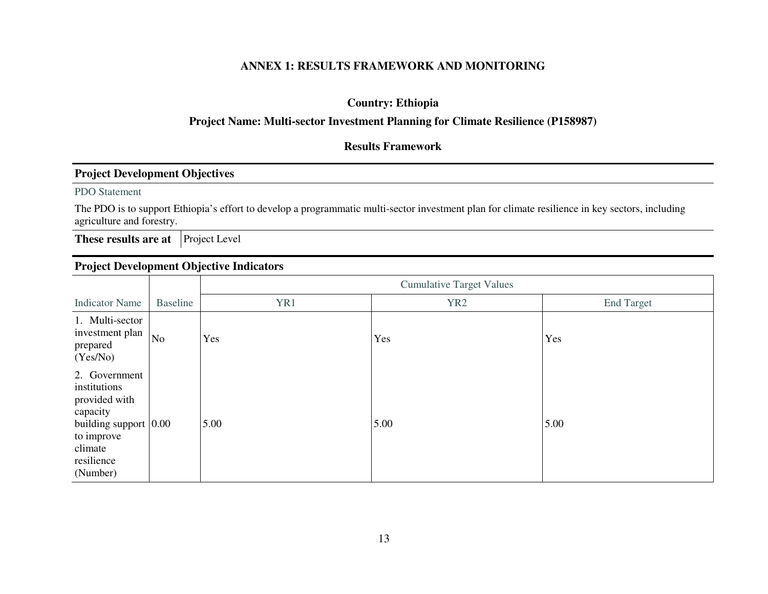### **ANNEX 1: RESULTS FRAMEWORK AND MONITORING**

## **Country: Ethiopia**

#### **Project Name: Multi-sector Investment Planning for Climate Resilience (P158987)**

#### **Results Framework**

#### **Project Development Objectives**

PDO Statement

The PDO is to support Ethiopia's effort to develop a programmatic multi-sector investment plan for climate resilience in key sectors, including agriculture and forestry.

**These results are at** Project Level

#### **Project Development Objective Indicators**

|                                                                                                                                            |          | <b>Cumulative Target Values</b> |                 |                   |  |  |  |
|--------------------------------------------------------------------------------------------------------------------------------------------|----------|---------------------------------|-----------------|-------------------|--|--|--|
| <b>Indicator Name</b>                                                                                                                      | Baseline | YR1                             | YR <sub>2</sub> | <b>End Target</b> |  |  |  |
| 1. Multi-sector<br>investment plan<br>prepared<br>(Yes/No)                                                                                 | No       | Yes                             | Yes             | Yes               |  |  |  |
| 2. Government<br>institutions<br>provided with<br>capacity<br>building support $ 0.00 $<br>to improve<br>climate<br>resilience<br>(Number) |          | 5.00                            | 5.00            | 5.00              |  |  |  |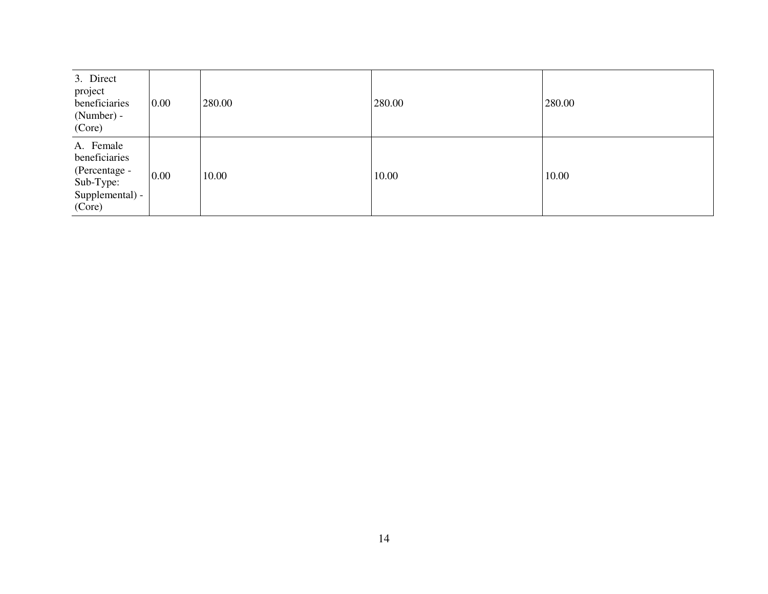| 3. Direct<br>project<br>beneficiaries<br>(Number) -<br>(Core)                         | 0.00 | 280.00 | 280.00 | 280.00 |
|---------------------------------------------------------------------------------------|------|--------|--------|--------|
| A. Female<br>beneficiaries<br>(Percentage -<br>Sub-Type:<br>Supplemental) -<br>(Core) | 0.00 | 10.00  | 10.00  | 10.00  |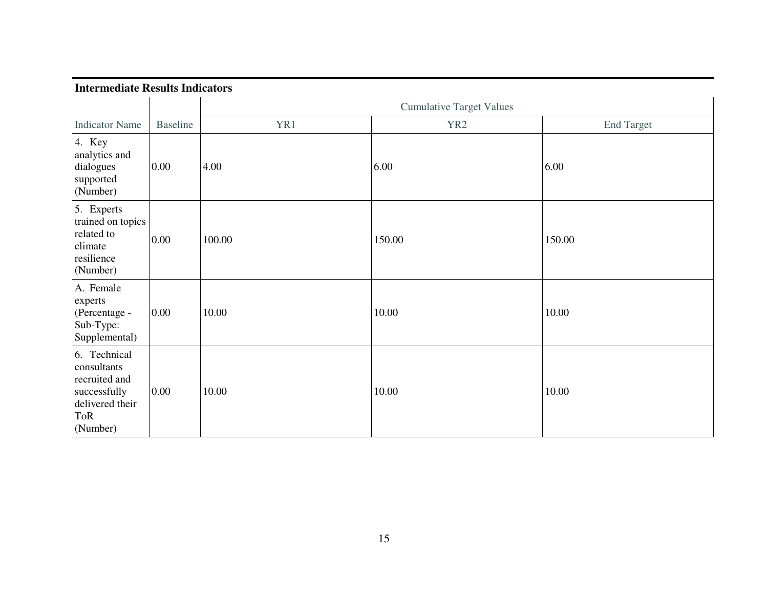| <b>Intermediate Results Indicators</b> |  |
|----------------------------------------|--|
|                                        |  |

|                                                                                                    |                 | <b>Cumulative Target Values</b> |                 |                   |
|----------------------------------------------------------------------------------------------------|-----------------|---------------------------------|-----------------|-------------------|
| <b>Indicator Name</b>                                                                              | <b>Baseline</b> | YR1                             | YR <sub>2</sub> | <b>End Target</b> |
| 4. Key<br>analytics and<br>dialogues<br>supported<br>(Number)                                      | 0.00            | 4.00                            | 6.00            | 6.00              |
| 5. Experts<br>trained on topics<br>related to<br>climate<br>resilience<br>(Number)                 | 0.00            | 100.00                          | 150.00          | 150.00            |
| A. Female<br>experts<br>(Percentage -<br>Sub-Type:<br>Supplemental)                                | 0.00            | 10.00                           | 10.00           | 10.00             |
| 6. Technical<br>consultants<br>recruited and<br>successfully<br>delivered their<br>ToR<br>(Number) | 0.00            | 10.00                           | 10.00           | 10.00             |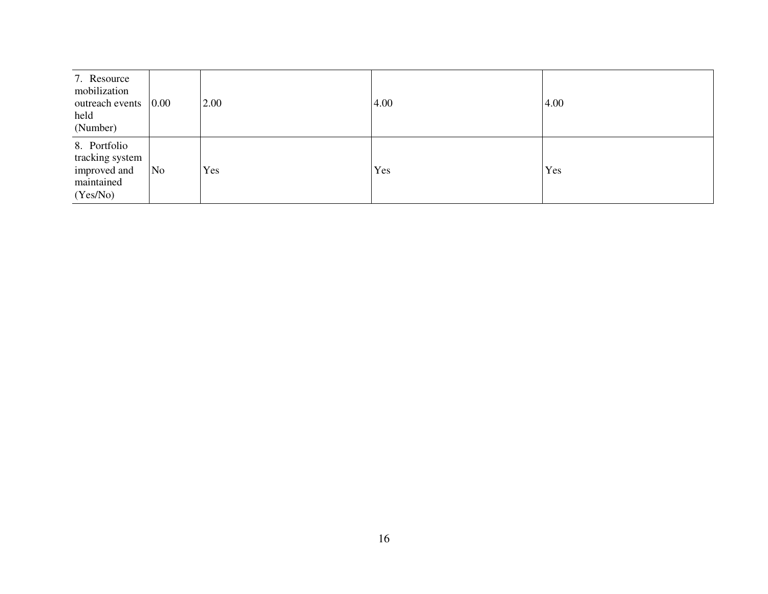| 7. Resource<br>mobilization<br>outreach events<br>held<br>(Number)        | 0.00 | 2.00 | 4.00 | 4.00 |
|---------------------------------------------------------------------------|------|------|------|------|
| 8. Portfolio<br>tracking system<br>improved and<br>maintained<br>(Yes/No) | No   | Yes  | Yes  | Yes  |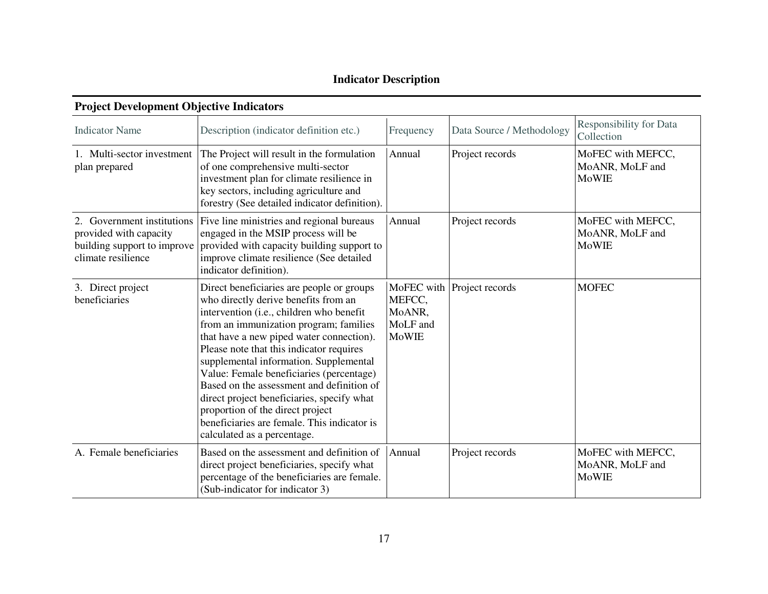# **Indicator Description**

| <b>Indicator Name</b>                                                      | Description (indicator definition etc.)                                                                                                                                                                                                                                                                                                                                                                                                                                                                                                                            | Frequency                                    | Data Source / Methodology  | <b>Responsibility for Data</b><br>Collection         |
|----------------------------------------------------------------------------|--------------------------------------------------------------------------------------------------------------------------------------------------------------------------------------------------------------------------------------------------------------------------------------------------------------------------------------------------------------------------------------------------------------------------------------------------------------------------------------------------------------------------------------------------------------------|----------------------------------------------|----------------------------|------------------------------------------------------|
| 1. Multi-sector investment<br>plan prepared                                | The Project will result in the formulation<br>of one comprehensive multi-sector<br>investment plan for climate resilience in<br>key sectors, including agriculture and<br>forestry (See detailed indicator definition).                                                                                                                                                                                                                                                                                                                                            | Annual                                       | Project records            | MoFEC with MEFCC,<br>MoANR, MoLF and<br><b>MoWIE</b> |
| 2. Government institutions<br>provided with capacity<br>climate resilience | Five line ministries and regional bureaus<br>engaged in the MSIP process will be<br>building support to improve provided with capacity building support to<br>improve climate resilience (See detailed<br>indicator definition).                                                                                                                                                                                                                                                                                                                                   | Annual                                       | Project records            | MoFEC with MEFCC,<br>MoANR, MoLF and<br><b>MoWIE</b> |
| 3. Direct project<br>beneficiaries                                         | Direct beneficiaries are people or groups<br>who directly derive benefits from an<br>intervention (i.e., children who benefit<br>from an immunization program; families<br>that have a new piped water connection).<br>Please note that this indicator requires<br>supplemental information. Supplemental<br>Value: Female beneficiaries (percentage)<br>Based on the assessment and definition of<br>direct project beneficiaries, specify what<br>proportion of the direct project<br>beneficiaries are female. This indicator is<br>calculated as a percentage. | MEFCC,<br>MoANR,<br>MoLF and<br><b>MoWIE</b> | MoFEC with Project records | <b>MOFEC</b>                                         |
| A. Female beneficiaries                                                    | Based on the assessment and definition of<br>direct project beneficiaries, specify what<br>percentage of the beneficiaries are female.<br>(Sub-indicator for indicator 3)                                                                                                                                                                                                                                                                                                                                                                                          | Annual                                       | Project records            | MoFEC with MEFCC,<br>MoANR, MoLF and<br><b>MoWIE</b> |

#### **Project Development Objective Indicators**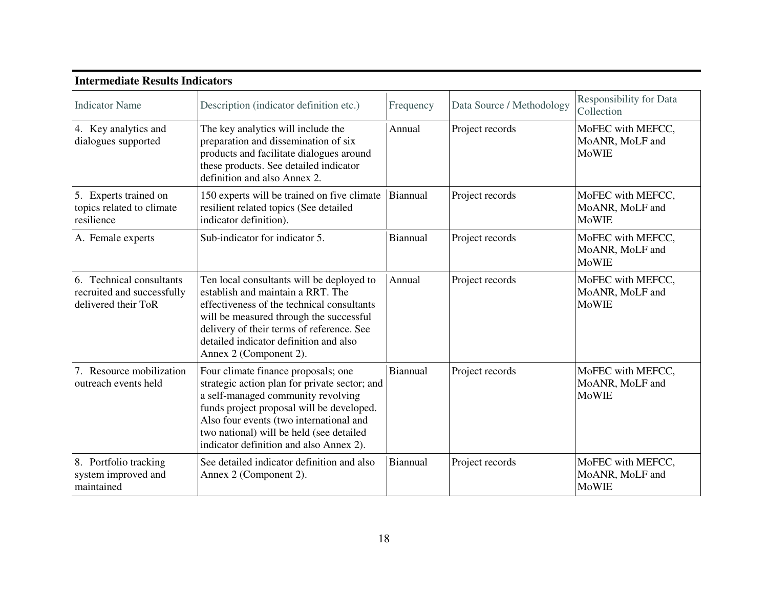| Intermediate Results Indicators                                               |                                                                                                                                                                                                                                                                                                           |           |                           |                                                      |  |
|-------------------------------------------------------------------------------|-----------------------------------------------------------------------------------------------------------------------------------------------------------------------------------------------------------------------------------------------------------------------------------------------------------|-----------|---------------------------|------------------------------------------------------|--|
| <b>Indicator Name</b>                                                         | Description (indicator definition etc.)                                                                                                                                                                                                                                                                   | Frequency | Data Source / Methodology | <b>Responsibility for Data</b><br>Collection         |  |
| 4. Key analytics and<br>dialogues supported                                   | The key analytics will include the<br>preparation and dissemination of six<br>products and facilitate dialogues around<br>these products. See detailed indicator<br>definition and also Annex 2.                                                                                                          | Annual    | Project records           | MoFEC with MEFCC,<br>MoANR, MoLF and<br><b>MoWIE</b> |  |
| 5. Experts trained on<br>topics related to climate<br>resilience              | 150 experts will be trained on five climate<br>resilient related topics (See detailed<br>indicator definition).                                                                                                                                                                                           | Biannual  | Project records           | MoFEC with MEFCC,<br>MoANR, MoLF and<br><b>MoWIE</b> |  |
| A. Female experts                                                             | Sub-indicator for indicator 5.                                                                                                                                                                                                                                                                            | Biannual  | Project records           | MoFEC with MEFCC,<br>MoANR, MoLF and<br><b>MoWIE</b> |  |
| 6. Technical consultants<br>recruited and successfully<br>delivered their ToR | Ten local consultants will be deployed to<br>establish and maintain a RRT. The<br>effectiveness of the technical consultants<br>will be measured through the successful<br>delivery of their terms of reference. See<br>detailed indicator definition and also<br>Annex 2 (Component 2).                  | Annual    | Project records           | MoFEC with MEFCC,<br>MoANR, MoLF and<br><b>MoWIE</b> |  |
| 7. Resource mobilization<br>outreach events held                              | Four climate finance proposals; one<br>strategic action plan for private sector; and<br>a self-managed community revolving<br>funds project proposal will be developed.<br>Also four events (two international and<br>two national) will be held (see detailed<br>indicator definition and also Annex 2). | Biannual  | Project records           | MoFEC with MEFCC,<br>MoANR, MoLF and<br><b>MoWIE</b> |  |
| 8. Portfolio tracking<br>system improved and<br>maintained                    | See detailed indicator definition and also<br>Annex 2 (Component 2).                                                                                                                                                                                                                                      | Biannual  | Project records           | MoFEC with MEFCC,<br>MoANR, MoLF and<br><b>MoWIE</b> |  |

# **Intermediate Results Indicators**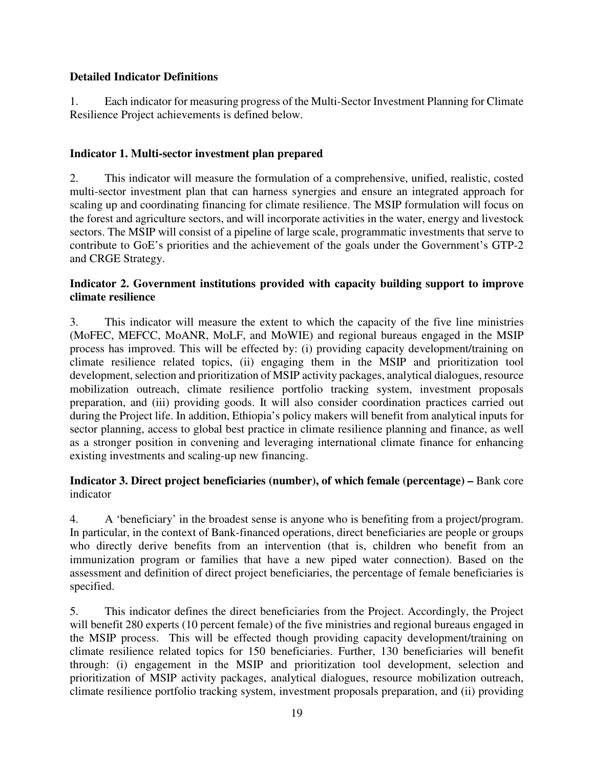## **Detailed Indicator Definitions**

1. Each indicator for measuring progress of the Multi-Sector Investment Planning for Climate Resilience Project achievements is defined below.

## **Indicator 1. Multi-sector investment plan prepared**

2. This indicator will measure the formulation of a comprehensive, unified, realistic, costed multi-sector investment plan that can harness synergies and ensure an integrated approach for scaling up and coordinating financing for climate resilience. The MSIP formulation will focus on the forest and agriculture sectors, and will incorporate activities in the water, energy and livestock sectors. The MSIP will consist of a pipeline of large scale, programmatic investments that serve to contribute to GoE's priorities and the achievement of the goals under the Government's GTP-2 and CRGE Strategy.

#### **Indicator 2. Government institutions provided with capacity building support to improve climate resilience**

3. This indicator will measure the extent to which the capacity of the five line ministries (MoFEC, MEFCC, MoANR, MoLF, and MoWIE) and regional bureaus engaged in the MSIP process has improved. This will be effected by: (i) providing capacity development/training on climate resilience related topics, (ii) engaging them in the MSIP and prioritization tool development, selection and prioritization of MSIP activity packages, analytical dialogues, resource mobilization outreach, climate resilience portfolio tracking system, investment proposals preparation, and (iii) providing goods. It will also consider coordination practices carried out during the Project life. In addition, Ethiopia's policy makers will benefit from analytical inputs for sector planning, access to global best practice in climate resilience planning and finance, as well as a stronger position in convening and leveraging international climate finance for enhancing existing investments and scaling-up new financing.

### **Indicator 3. Direct project beneficiaries (number), of which female (percentage) – Bank core** indicator

4. A 'beneficiary' in the broadest sense is anyone who is benefiting from a project/program. In particular, in the context of Bank-financed operations, direct beneficiaries are people or groups who directly derive benefits from an intervention (that is, children who benefit from an immunization program or families that have a new piped water connection). Based on the assessment and definition of direct project beneficiaries, the percentage of female beneficiaries is specified.

5. This indicator defines the direct beneficiaries from the Project. Accordingly, the Project will benefit 280 experts (10 percent female) of the five ministries and regional bureaus engaged in the MSIP process. This will be effected though providing capacity development/training on climate resilience related topics for 150 beneficiaries. Further, 130 beneficiaries will benefit through: (i) engagement in the MSIP and prioritization tool development, selection and prioritization of MSIP activity packages, analytical dialogues, resource mobilization outreach, climate resilience portfolio tracking system, investment proposals preparation, and (ii) providing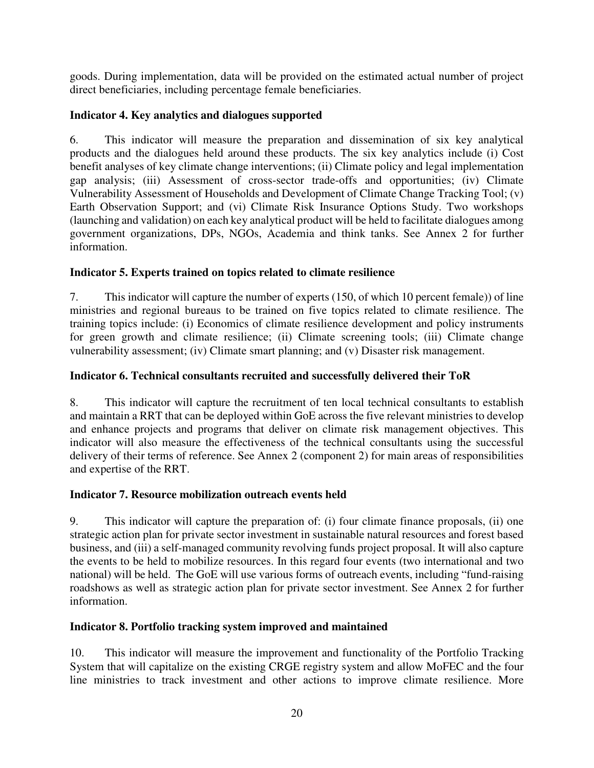goods. During implementation, data will be provided on the estimated actual number of project direct beneficiaries, including percentage female beneficiaries.

# **Indicator 4. Key analytics and dialogues supported**

6. This indicator will measure the preparation and dissemination of six key analytical products and the dialogues held around these products. The six key analytics include (i) Cost benefit analyses of key climate change interventions; (ii) Climate policy and legal implementation gap analysis; (iii) Assessment of cross-sector trade-offs and opportunities; (iv) Climate Vulnerability Assessment of Households and Development of Climate Change Tracking Tool; (v) Earth Observation Support; and (vi) Climate Risk Insurance Options Study. Two workshops (launching and validation) on each key analytical product will be held to facilitate dialogues among government organizations, DPs, NGOs, Academia and think tanks. See Annex 2 for further information.

# **Indicator 5. Experts trained on topics related to climate resilience**

7. This indicator will capture the number of experts (150, of which 10 percent female)) of line ministries and regional bureaus to be trained on five topics related to climate resilience. The training topics include: (i) Economics of climate resilience development and policy instruments for green growth and climate resilience; (ii) Climate screening tools; (iii) Climate change vulnerability assessment; (iv) Climate smart planning; and (v) Disaster risk management.

# **Indicator 6. Technical consultants recruited and successfully delivered their ToR**

8. This indicator will capture the recruitment of ten local technical consultants to establish and maintain a RRT that can be deployed within GoE across the five relevant ministries to develop and enhance projects and programs that deliver on climate risk management objectives. This indicator will also measure the effectiveness of the technical consultants using the successful delivery of their terms of reference. See Annex 2 (component 2) for main areas of responsibilities and expertise of the RRT.

# **Indicator 7. Resource mobilization outreach events held**

9. This indicator will capture the preparation of: (i) four climate finance proposals, (ii) one strategic action plan for private sector investment in sustainable natural resources and forest based business, and (iii) a self-managed community revolving funds project proposal. It will also capture the events to be held to mobilize resources. In this regard four events (two international and two national) will be held. The GoE will use various forms of outreach events, including "fund-raising roadshows as well as strategic action plan for private sector investment. See Annex 2 for further information.

# **Indicator 8. Portfolio tracking system improved and maintained**

10. This indicator will measure the improvement and functionality of the Portfolio Tracking System that will capitalize on the existing CRGE registry system and allow MoFEC and the four line ministries to track investment and other actions to improve climate resilience. More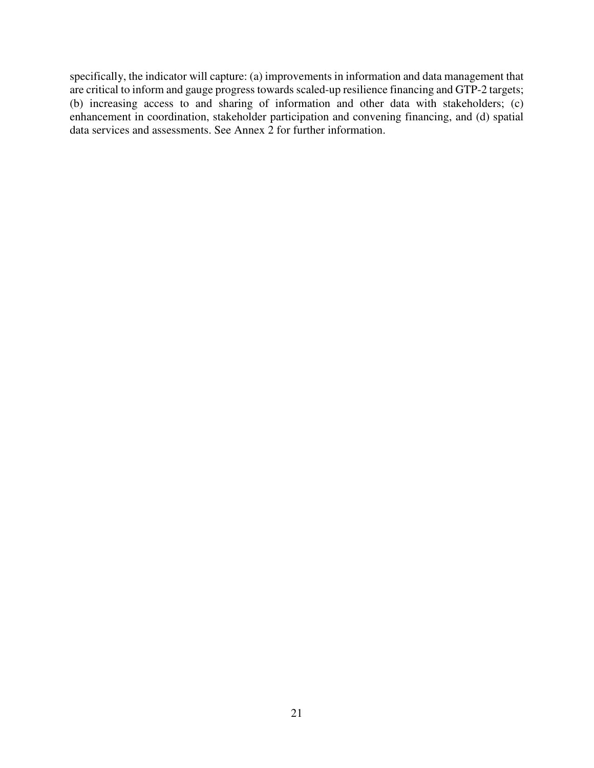specifically, the indicator will capture: (a) improvements in information and data management that are critical to inform and gauge progress towards scaled-up resilience financing and GTP-2 targets; (b) increasing access to and sharing of information and other data with stakeholders; (c) enhancement in coordination, stakeholder participation and convening financing, and (d) spatial data services and assessments. See Annex 2 for further information.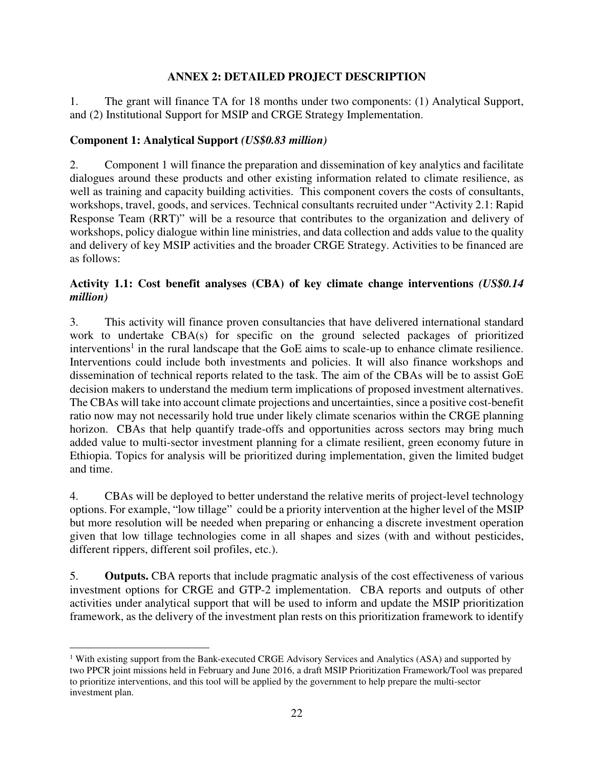## **ANNEX 2: DETAILED PROJECT DESCRIPTION**

1. The grant will finance TA for 18 months under two components: (1) Analytical Support, and (2) Institutional Support for MSIP and CRGE Strategy Implementation.

## **Component 1: Analytical Support** *(US\$0.83 million)*

2. Component 1 will finance the preparation and dissemination of key analytics and facilitate dialogues around these products and other existing information related to climate resilience, as well as training and capacity building activities. This component covers the costs of consultants, workshops, travel, goods, and services. Technical consultants recruited under "Activity 2.1: Rapid Response Team (RRT)" will be a resource that contributes to the organization and delivery of workshops, policy dialogue within line ministries, and data collection and adds value to the quality and delivery of key MSIP activities and the broader CRGE Strategy. Activities to be financed are as follows:

### **Activity 1.1: Cost benefit analyses (CBA) of key climate change interventions** *(US\$0.14 million)*

3. This activity will finance proven consultancies that have delivered international standard work to undertake CBA(s) for specific on the ground selected packages of prioritized interventions<sup>1</sup> in the rural landscape that the GoE aims to scale-up to enhance climate resilience. Interventions could include both investments and policies. It will also finance workshops and dissemination of technical reports related to the task. The aim of the CBAs will be to assist GoE decision makers to understand the medium term implications of proposed investment alternatives. The CBAs will take into account climate projections and uncertainties, since a positive cost-benefit ratio now may not necessarily hold true under likely climate scenarios within the CRGE planning horizon. CBAs that help quantify trade-offs and opportunities across sectors may bring much added value to multi-sector investment planning for a climate resilient, green economy future in Ethiopia. Topics for analysis will be prioritized during implementation, given the limited budget and time.

4. CBAs will be deployed to better understand the relative merits of project-level technology options. For example, "low tillage" could be a priority intervention at the higher level of the MSIP but more resolution will be needed when preparing or enhancing a discrete investment operation given that low tillage technologies come in all shapes and sizes (with and without pesticides, different rippers, different soil profiles, etc.).

5. **Outputs.** CBA reports that include pragmatic analysis of the cost effectiveness of various investment options for CRGE and GTP-2 implementation. CBA reports and outputs of other activities under analytical support that will be used to inform and update the MSIP prioritization framework, as the delivery of the investment plan rests on this prioritization framework to identify

 $\overline{a}$ <sup>1</sup> With existing support from the Bank-executed CRGE Advisory Services and Analytics (ASA) and supported by two PPCR joint missions held in February and June 2016, a draft MSIP Prioritization Framework/Tool was prepared to prioritize interventions, and this tool will be applied by the government to help prepare the multi-sector investment plan.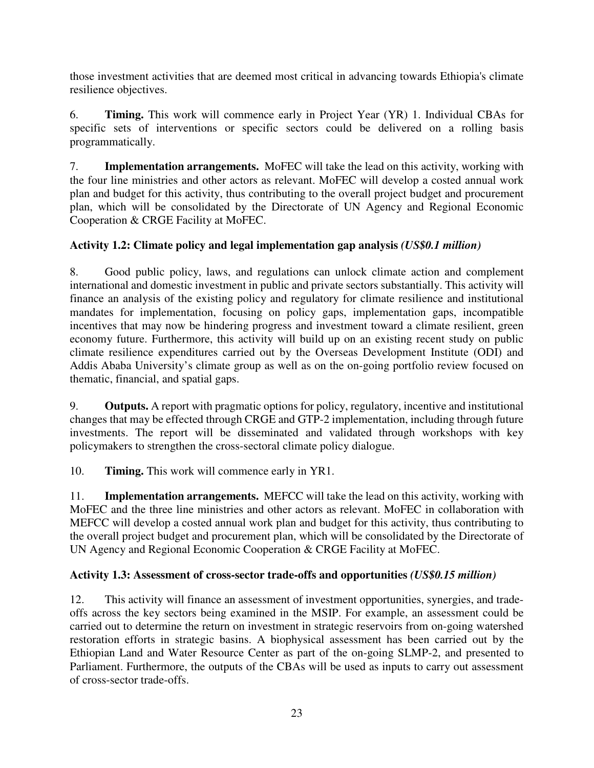those investment activities that are deemed most critical in advancing towards Ethiopia's climate resilience objectives.

6. **Timing.** This work will commence early in Project Year (YR) 1. Individual CBAs for specific sets of interventions or specific sectors could be delivered on a rolling basis programmatically.

7. **Implementation arrangements.** MoFEC will take the lead on this activity, working with the four line ministries and other actors as relevant. MoFEC will develop a costed annual work plan and budget for this activity, thus contributing to the overall project budget and procurement plan, which will be consolidated by the Directorate of UN Agency and Regional Economic Cooperation & CRGE Facility at MoFEC.

# **Activity 1.2: Climate policy and legal implementation gap analysis** *(US\$0.1 million)*

8. Good public policy, laws, and regulations can unlock climate action and complement international and domestic investment in public and private sectors substantially. This activity will finance an analysis of the existing policy and regulatory for climate resilience and institutional mandates for implementation, focusing on policy gaps, implementation gaps, incompatible incentives that may now be hindering progress and investment toward a climate resilient, green economy future. Furthermore, this activity will build up on an existing recent study on public climate resilience expenditures carried out by the Overseas Development Institute (ODI) and Addis Ababa University's climate group as well as on the on-going portfolio review focused on thematic, financial, and spatial gaps.

9. **Outputs.** A report with pragmatic options for policy, regulatory, incentive and institutional changes that may be effected through CRGE and GTP-2 implementation, including through future investments. The report will be disseminated and validated through workshops with key policymakers to strengthen the cross-sectoral climate policy dialogue.

10. **Timing.** This work will commence early in YR1.

11. **Implementation arrangements.** MEFCC will take the lead on this activity, working with MoFEC and the three line ministries and other actors as relevant. MoFEC in collaboration with MEFCC will develop a costed annual work plan and budget for this activity, thus contributing to the overall project budget and procurement plan, which will be consolidated by the Directorate of UN Agency and Regional Economic Cooperation & CRGE Facility at MoFEC.

### **Activity 1.3: Assessment of cross-sector trade-offs and opportunities** *(US\$0.15 million)*

12. This activity will finance an assessment of investment opportunities, synergies, and tradeoffs across the key sectors being examined in the MSIP. For example, an assessment could be carried out to determine the return on investment in strategic reservoirs from on-going watershed restoration efforts in strategic basins. A biophysical assessment has been carried out by the Ethiopian Land and Water Resource Center as part of the on-going SLMP-2, and presented to Parliament. Furthermore, the outputs of the CBAs will be used as inputs to carry out assessment of cross-sector trade-offs.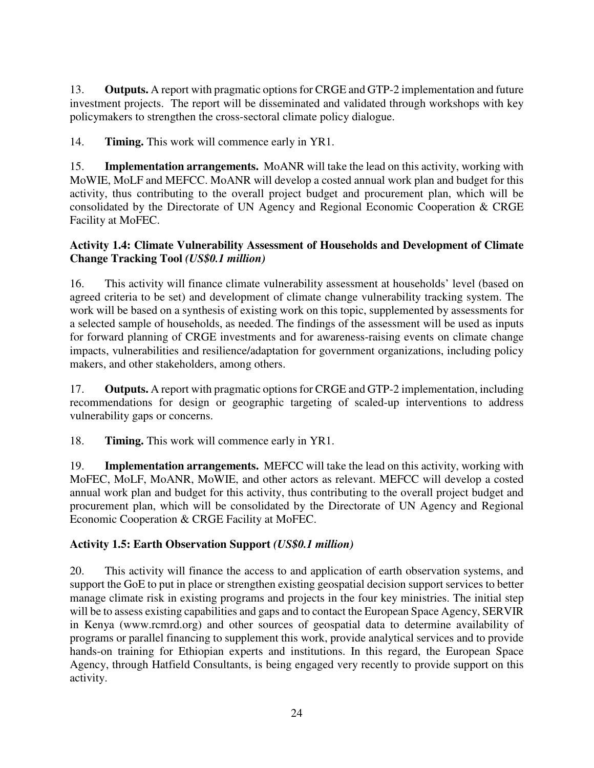13. **Outputs.** A report with pragmatic options for CRGE and GTP-2 implementation and future investment projects. The report will be disseminated and validated through workshops with key policymakers to strengthen the cross-sectoral climate policy dialogue.

14. **Timing.** This work will commence early in YR1.

15. **Implementation arrangements.** MoANR will take the lead on this activity, working with MoWIE, MoLF and MEFCC. MoANR will develop a costed annual work plan and budget for this activity, thus contributing to the overall project budget and procurement plan, which will be consolidated by the Directorate of UN Agency and Regional Economic Cooperation & CRGE Facility at MoFEC.

## **Activity 1.4: Climate Vulnerability Assessment of Households and Development of Climate Change Tracking Tool** *(US\$0.1 million)*

16. This activity will finance climate vulnerability assessment at households' level (based on agreed criteria to be set) and development of climate change vulnerability tracking system. The work will be based on a synthesis of existing work on this topic, supplemented by assessments for a selected sample of households, as needed. The findings of the assessment will be used as inputs for forward planning of CRGE investments and for awareness-raising events on climate change impacts, vulnerabilities and resilience/adaptation for government organizations, including policy makers, and other stakeholders, among others.

17. **Outputs.** A report with pragmatic options for CRGE and GTP-2 implementation, including recommendations for design or geographic targeting of scaled-up interventions to address vulnerability gaps or concerns.

18. **Timing.** This work will commence early in YR1.

19. **Implementation arrangements.** MEFCC will take the lead on this activity, working with MoFEC, MoLF, MoANR, MoWIE, and other actors as relevant. MEFCC will develop a costed annual work plan and budget for this activity, thus contributing to the overall project budget and procurement plan, which will be consolidated by the Directorate of UN Agency and Regional Economic Cooperation & CRGE Facility at MoFEC.

# **Activity 1.5: Earth Observation Support** *(US\$0.1 million)*

20. This activity will finance the access to and application of earth observation systems, and support the GoE to put in place or strengthen existing geospatial decision support services to better manage climate risk in existing programs and projects in the four key ministries. The initial step will be to assess existing capabilities and gaps and to contact the European Space Agency, SERVIR in Kenya (www.rcmrd.org) and other sources of geospatial data to determine availability of programs or parallel financing to supplement this work, provide analytical services and to provide hands-on training for Ethiopian experts and institutions. In this regard, the European Space Agency, through Hatfield Consultants, is being engaged very recently to provide support on this activity.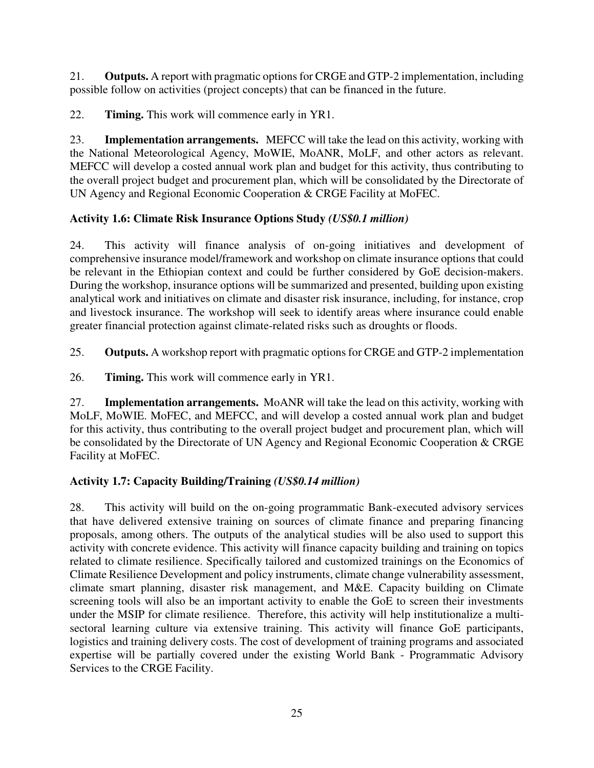21. **Outputs.** A report with pragmatic options for CRGE and GTP-2 implementation, including possible follow on activities (project concepts) that can be financed in the future.

22. **Timing.** This work will commence early in YR1.

23. **Implementation arrangements.** MEFCC will take the lead on this activity, working with the National Meteorological Agency, MoWIE, MoANR, MoLF, and other actors as relevant. MEFCC will develop a costed annual work plan and budget for this activity, thus contributing to the overall project budget and procurement plan, which will be consolidated by the Directorate of UN Agency and Regional Economic Cooperation & CRGE Facility at MoFEC.

# **Activity 1.6: Climate Risk Insurance Options Study** *(US\$0.1 million)*

24. This activity will finance analysis of on-going initiatives and development of comprehensive insurance model/framework and workshop on climate insurance options that could be relevant in the Ethiopian context and could be further considered by GoE decision-makers. During the workshop, insurance options will be summarized and presented, building upon existing analytical work and initiatives on climate and disaster risk insurance, including, for instance, crop and livestock insurance. The workshop will seek to identify areas where insurance could enable greater financial protection against climate-related risks such as droughts or floods.

25. **Outputs.** A workshop report with pragmatic options for CRGE and GTP-2 implementation

26. **Timing.** This work will commence early in YR1.

27. **Implementation arrangements.** MoANR will take the lead on this activity, working with MoLF, MoWIE. MoFEC, and MEFCC, and will develop a costed annual work plan and budget for this activity, thus contributing to the overall project budget and procurement plan, which will be consolidated by the Directorate of UN Agency and Regional Economic Cooperation & CRGE Facility at MoFEC.

# **Activity 1.7: Capacity Building/Training** *(US\$0.14 million)*

28. This activity will build on the on-going programmatic Bank-executed advisory services that have delivered extensive training on sources of climate finance and preparing financing proposals, among others. The outputs of the analytical studies will be also used to support this activity with concrete evidence. This activity will finance capacity building and training on topics related to climate resilience. Specifically tailored and customized trainings on the Economics of Climate Resilience Development and policy instruments, climate change vulnerability assessment, climate smart planning, disaster risk management, and M&E. Capacity building on Climate screening tools will also be an important activity to enable the GoE to screen their investments under the MSIP for climate resilience. Therefore, this activity will help institutionalize a multisectoral learning culture via extensive training. This activity will finance GoE participants, logistics and training delivery costs. The cost of development of training programs and associated expertise will be partially covered under the existing World Bank - Programmatic Advisory Services to the CRGE Facility.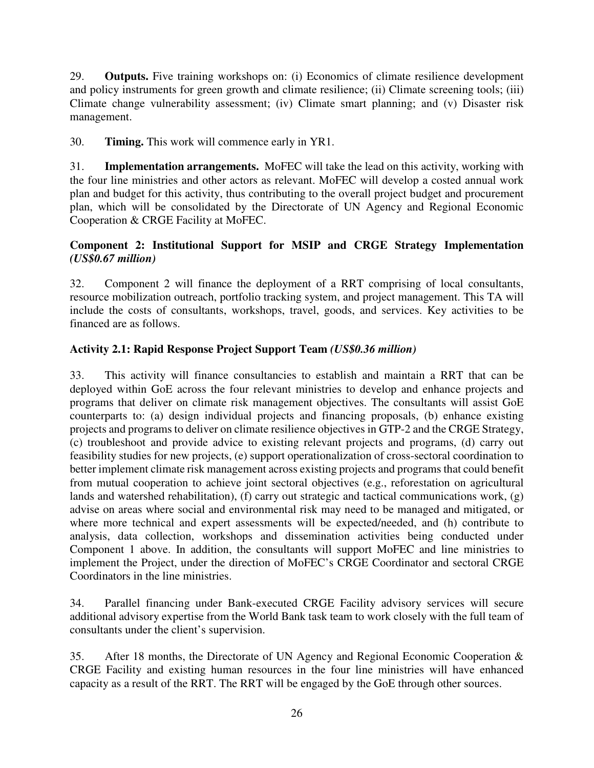29. **Outputs.** Five training workshops on: (i) Economics of climate resilience development and policy instruments for green growth and climate resilience; (ii) Climate screening tools; (iii) Climate change vulnerability assessment; (iv) Climate smart planning; and (v) Disaster risk management.

30. **Timing.** This work will commence early in YR1.

31. **Implementation arrangements.** MoFEC will take the lead on this activity, working with the four line ministries and other actors as relevant. MoFEC will develop a costed annual work plan and budget for this activity, thus contributing to the overall project budget and procurement plan, which will be consolidated by the Directorate of UN Agency and Regional Economic Cooperation & CRGE Facility at MoFEC.

## **Component 2: Institutional Support for MSIP and CRGE Strategy Implementation**  *(US\$0.67 million)*

32. Component 2 will finance the deployment of a RRT comprising of local consultants, resource mobilization outreach, portfolio tracking system, and project management. This TA will include the costs of consultants, workshops, travel, goods, and services. Key activities to be financed are as follows.

## **Activity 2.1: Rapid Response Project Support Team** *(US\$0.36 million)*

33. This activity will finance consultancies to establish and maintain a RRT that can be deployed within GoE across the four relevant ministries to develop and enhance projects and programs that deliver on climate risk management objectives. The consultants will assist GoE counterparts to: (a) design individual projects and financing proposals, (b) enhance existing projects and programs to deliver on climate resilience objectives in GTP-2 and the CRGE Strategy, (c) troubleshoot and provide advice to existing relevant projects and programs, (d) carry out feasibility studies for new projects, (e) support operationalization of cross-sectoral coordination to better implement climate risk management across existing projects and programs that could benefit from mutual cooperation to achieve joint sectoral objectives (e.g., reforestation on agricultural lands and watershed rehabilitation), (f) carry out strategic and tactical communications work, (g) advise on areas where social and environmental risk may need to be managed and mitigated, or where more technical and expert assessments will be expected/needed, and (h) contribute to analysis, data collection, workshops and dissemination activities being conducted under Component 1 above. In addition, the consultants will support MoFEC and line ministries to implement the Project, under the direction of MoFEC's CRGE Coordinator and sectoral CRGE Coordinators in the line ministries.

34. Parallel financing under Bank-executed CRGE Facility advisory services will secure additional advisory expertise from the World Bank task team to work closely with the full team of consultants under the client's supervision.

35. After 18 months, the Directorate of UN Agency and Regional Economic Cooperation & CRGE Facility and existing human resources in the four line ministries will have enhanced capacity as a result of the RRT. The RRT will be engaged by the GoE through other sources.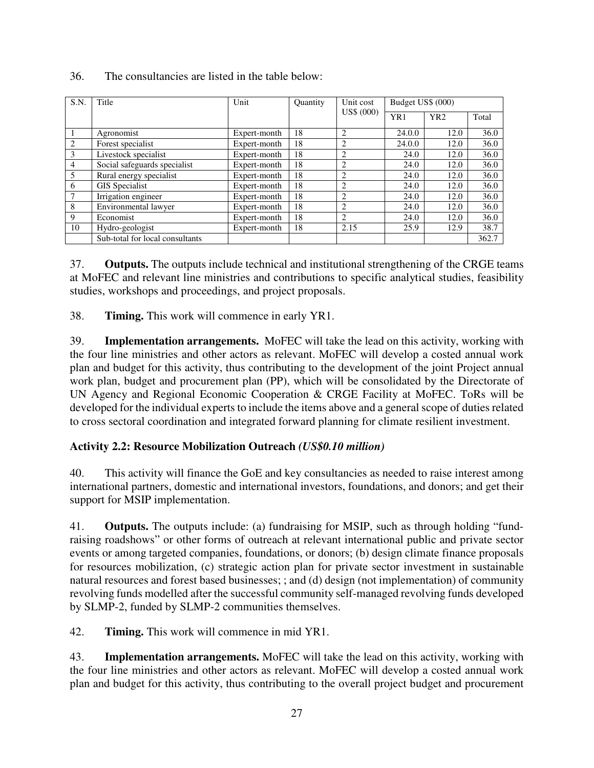| S.N.           | Title                           | Unit         | <b>Quantity</b> | Unit cost      | Budget US\$ (000) |                 |       |
|----------------|---------------------------------|--------------|-----------------|----------------|-------------------|-----------------|-------|
|                |                                 |              |                 | US\$ (000)     | YR1               | YR <sub>2</sub> | Total |
|                | Agronomist                      | Expert-month | 18              | $\overline{c}$ | 24.0.0            | 12.0            | 36.0  |
| 2              | Forest specialist               | Expert-month | 18              | $\overline{c}$ | 24.0.0            | 12.0            | 36.0  |
| 3              | Livestock specialist            | Expert-month | 18              | $\overline{2}$ | 24.0              | 12.0            | 36.0  |
| $\overline{4}$ | Social safeguards specialist    | Expert-month | 18              | $\overline{2}$ | 24.0              | 12.0            | 36.0  |
| 5              | Rural energy specialist         | Expert-month | 18              | $\overline{c}$ | 24.0              | 12.0            | 36.0  |
| 6              | GIS Specialist                  | Expert-month | 18              | $\overline{2}$ | 24.0              | 12.0            | 36.0  |
| 7              | Irrigation engineer             | Expert-month | 18              | $\overline{c}$ | 24.0              | 12.0            | 36.0  |
| 8              | Environmental lawyer            | Expert-month | 18              | 2              | 24.0              | 12.0            | 36.0  |
| 9              | Economist                       | Expert-month | 18              | $\overline{c}$ | 24.0              | 12.0            | 36.0  |
| 10             | Hydro-geologist                 | Expert-month | 18              | 2.15           | 25.9              | 12.9            | 38.7  |
|                | Sub-total for local consultants |              |                 |                |                   |                 | 362.7 |

#### 36. The consultancies are listed in the table below:

37. **Outputs.** The outputs include technical and institutional strengthening of the CRGE teams at MoFEC and relevant line ministries and contributions to specific analytical studies, feasibility studies, workshops and proceedings, and project proposals.

38. **Timing.** This work will commence in early YR1.

39. **Implementation arrangements.** MoFEC will take the lead on this activity, working with the four line ministries and other actors as relevant. MoFEC will develop a costed annual work plan and budget for this activity, thus contributing to the development of the joint Project annual work plan, budget and procurement plan (PP), which will be consolidated by the Directorate of UN Agency and Regional Economic Cooperation & CRGE Facility at MoFEC. ToRs will be developed for the individual experts to include the items above and a general scope of duties related to cross sectoral coordination and integrated forward planning for climate resilient investment.

# **Activity 2.2: Resource Mobilization Outreach** *(US\$0.10 million)*

40. This activity will finance the GoE and key consultancies as needed to raise interest among international partners, domestic and international investors, foundations, and donors; and get their support for MSIP implementation.

41. **Outputs.** The outputs include: (a) fundraising for MSIP, such as through holding "fundraising roadshows" or other forms of outreach at relevant international public and private sector events or among targeted companies, foundations, or donors; (b) design climate finance proposals for resources mobilization, (c) strategic action plan for private sector investment in sustainable natural resources and forest based businesses; ; and (d) design (not implementation) of community revolving funds modelled after the successful community self-managed revolving funds developed by SLMP-2, funded by SLMP-2 communities themselves.

42. **Timing.** This work will commence in mid YR1.

43. **Implementation arrangements.** MoFEC will take the lead on this activity, working with the four line ministries and other actors as relevant. MoFEC will develop a costed annual work plan and budget for this activity, thus contributing to the overall project budget and procurement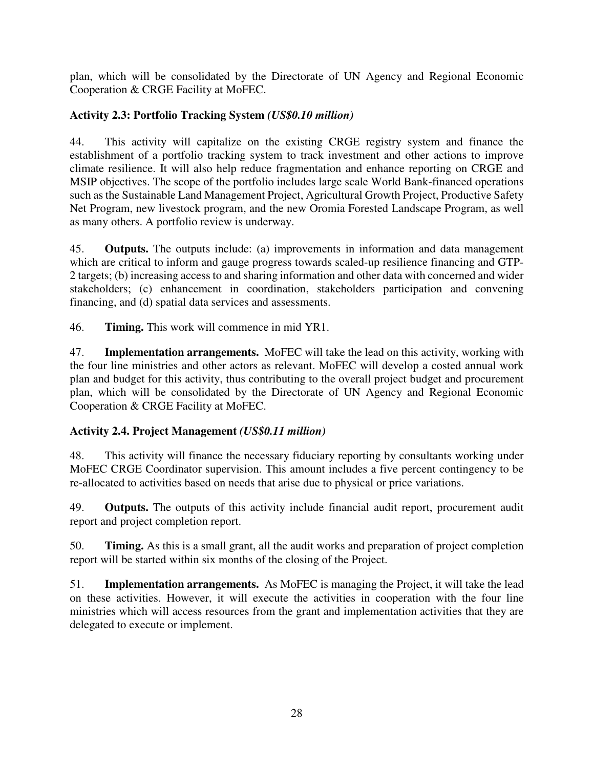plan, which will be consolidated by the Directorate of UN Agency and Regional Economic Cooperation & CRGE Facility at MoFEC.

# **Activity 2.3: Portfolio Tracking System** *(US\$0.10 million)*

44. This activity will capitalize on the existing CRGE registry system and finance the establishment of a portfolio tracking system to track investment and other actions to improve climate resilience. It will also help reduce fragmentation and enhance reporting on CRGE and MSIP objectives. The scope of the portfolio includes large scale World Bank-financed operations such as the Sustainable Land Management Project, Agricultural Growth Project, Productive Safety Net Program, new livestock program, and the new Oromia Forested Landscape Program, as well as many others. A portfolio review is underway.

45. **Outputs.** The outputs include: (a) improvements in information and data management which are critical to inform and gauge progress towards scaled-up resilience financing and GTP-2 targets; (b) increasing access to and sharing information and other data with concerned and wider stakeholders; (c) enhancement in coordination, stakeholders participation and convening financing, and (d) spatial data services and assessments.

46. **Timing.** This work will commence in mid YR1.

47. **Implementation arrangements.** MoFEC will take the lead on this activity, working with the four line ministries and other actors as relevant. MoFEC will develop a costed annual work plan and budget for this activity, thus contributing to the overall project budget and procurement plan, which will be consolidated by the Directorate of UN Agency and Regional Economic Cooperation & CRGE Facility at MoFEC.

# **Activity 2.4. Project Management** *(US\$0.11 million)*

48. This activity will finance the necessary fiduciary reporting by consultants working under MoFEC CRGE Coordinator supervision. This amount includes a five percent contingency to be re-allocated to activities based on needs that arise due to physical or price variations.

49. **Outputs.** The outputs of this activity include financial audit report, procurement audit report and project completion report.

50. **Timing.** As this is a small grant, all the audit works and preparation of project completion report will be started within six months of the closing of the Project.

51. **Implementation arrangements.** As MoFEC is managing the Project, it will take the lead on these activities. However, it will execute the activities in cooperation with the four line ministries which will access resources from the grant and implementation activities that they are delegated to execute or implement.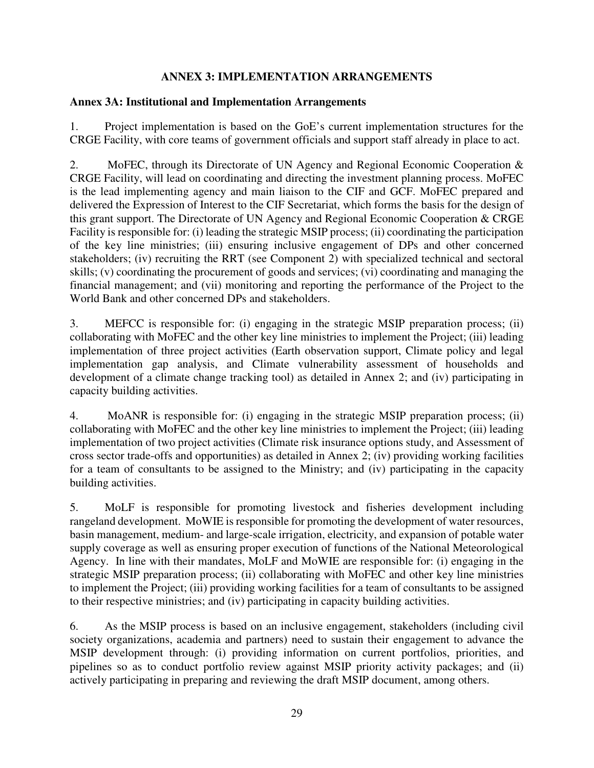### **ANNEX 3: IMPLEMENTATION ARRANGEMENTS**

#### **Annex 3A: Institutional and Implementation Arrangements**

1. Project implementation is based on the GoE's current implementation structures for the CRGE Facility, with core teams of government officials and support staff already in place to act.

2. MoFEC, through its Directorate of UN Agency and Regional Economic Cooperation & CRGE Facility, will lead on coordinating and directing the investment planning process. MoFEC is the lead implementing agency and main liaison to the CIF and GCF. MoFEC prepared and delivered the Expression of Interest to the CIF Secretariat, which forms the basis for the design of this grant support. The Directorate of UN Agency and Regional Economic Cooperation & CRGE Facility is responsible for: (i) leading the strategic MSIP process; (ii) coordinating the participation of the key line ministries; (iii) ensuring inclusive engagement of DPs and other concerned stakeholders; (iv) recruiting the RRT (see Component 2) with specialized technical and sectoral skills; (v) coordinating the procurement of goods and services; (vi) coordinating and managing the financial management; and (vii) monitoring and reporting the performance of the Project to the World Bank and other concerned DPs and stakeholders.

3. MEFCC is responsible for: (i) engaging in the strategic MSIP preparation process; (ii) collaborating with MoFEC and the other key line ministries to implement the Project; (iii) leading implementation of three project activities (Earth observation support, Climate policy and legal implementation gap analysis, and Climate vulnerability assessment of households and development of a climate change tracking tool) as detailed in Annex 2; and (iv) participating in capacity building activities.

4. MoANR is responsible for: (i) engaging in the strategic MSIP preparation process; (ii) collaborating with MoFEC and the other key line ministries to implement the Project; (iii) leading implementation of two project activities (Climate risk insurance options study, and Assessment of cross sector trade-offs and opportunities) as detailed in Annex 2; (iv) providing working facilities for a team of consultants to be assigned to the Ministry; and (iv) participating in the capacity building activities.

5. MoLF is responsible for promoting livestock and fisheries development including rangeland development. MoWIE is responsible for promoting the development of water resources, basin management, medium- and large-scale irrigation, electricity, and expansion of potable water supply coverage as well as ensuring proper execution of functions of the National Meteorological Agency. In line with their mandates, MoLF and MoWIE are responsible for: (i) engaging in the strategic MSIP preparation process; (ii) collaborating with MoFEC and other key line ministries to implement the Project; (iii) providing working facilities for a team of consultants to be assigned to their respective ministries; and (iv) participating in capacity building activities.

6. As the MSIP process is based on an inclusive engagement, stakeholders (including civil society organizations, academia and partners) need to sustain their engagement to advance the MSIP development through: (i) providing information on current portfolios, priorities, and pipelines so as to conduct portfolio review against MSIP priority activity packages; and (ii) actively participating in preparing and reviewing the draft MSIP document, among others.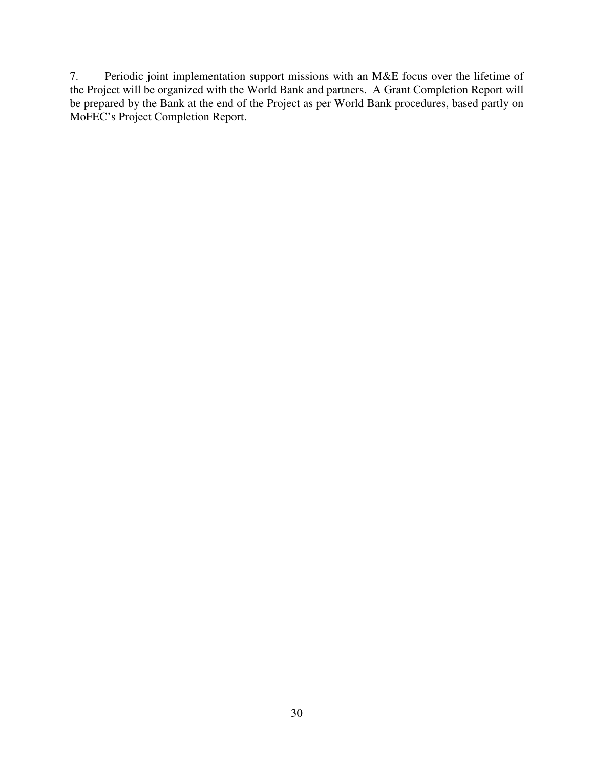7. Periodic joint implementation support missions with an M&E focus over the lifetime of the Project will be organized with the World Bank and partners. A Grant Completion Report will be prepared by the Bank at the end of the Project as per World Bank procedures, based partly on MoFEC's Project Completion Report.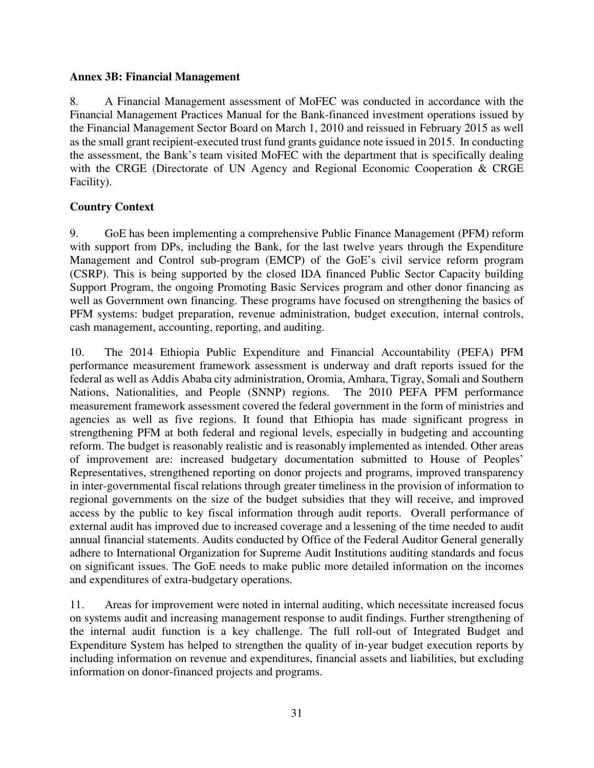#### **Annex 3B: Financial Management**

8. A Financial Management assessment of MoFEC was conducted in accordance with the Financial Management Practices Manual for the Bank-financed investment operations issued by the Financial Management Sector Board on March 1, 2010 and reissued in February 2015 as well as the small grant recipient-executed trust fund grants guidance note issued in 2015. In conducting the assessment, the Bank's team visited MoFEC with the department that is specifically dealing with the CRGE (Directorate of UN Agency and Regional Economic Cooperation & CRGE Facility).

### **Country Context**

9. GoE has been implementing a comprehensive Public Finance Management (PFM) reform with support from DPs, including the Bank, for the last twelve years through the Expenditure Management and Control sub-program (EMCP) of the GoE's civil service reform program (CSRP). This is being supported by the closed IDA financed Public Sector Capacity building Support Program, the ongoing Promoting Basic Services program and other donor financing as well as Government own financing. These programs have focused on strengthening the basics of PFM systems: budget preparation, revenue administration, budget execution, internal controls, cash management, accounting, reporting, and auditing.

10. The 2014 Ethiopia Public Expenditure and Financial Accountability (PEFA) PFM performance measurement framework assessment is underway and draft reports issued for the federal as well as Addis Ababa city administration, Oromia, Amhara, Tigray, Somali and Southern Nations, Nationalities, and People (SNNP) regions. The 2010 PEFA PFM performance measurement framework assessment covered the federal government in the form of ministries and agencies as well as five regions. It found that Ethiopia has made significant progress in strengthening PFM at both federal and regional levels, especially in budgeting and accounting reform. The budget is reasonably realistic and is reasonably implemented as intended. Other areas of improvement are: increased budgetary documentation submitted to House of Peoples' Representatives, strengthened reporting on donor projects and programs, improved transparency in inter-governmental fiscal relations through greater timeliness in the provision of information to regional governments on the size of the budget subsidies that they will receive, and improved access by the public to key fiscal information through audit reports. Overall performance of external audit has improved due to increased coverage and a lessening of the time needed to audit annual financial statements. Audits conducted by Office of the Federal Auditor General generally adhere to International Organization for Supreme Audit Institutions auditing standards and focus on significant issues. The GoE needs to make public more detailed information on the incomes and expenditures of extra-budgetary operations.

11. Areas for improvement were noted in internal auditing, which necessitate increased focus on systems audit and increasing management response to audit findings. Further strengthening of the internal audit function is a key challenge. The full roll-out of Integrated Budget and Expenditure System has helped to strengthen the quality of in-year budget execution reports by including information on revenue and expenditures, financial assets and liabilities, but excluding information on donor-financed projects and programs.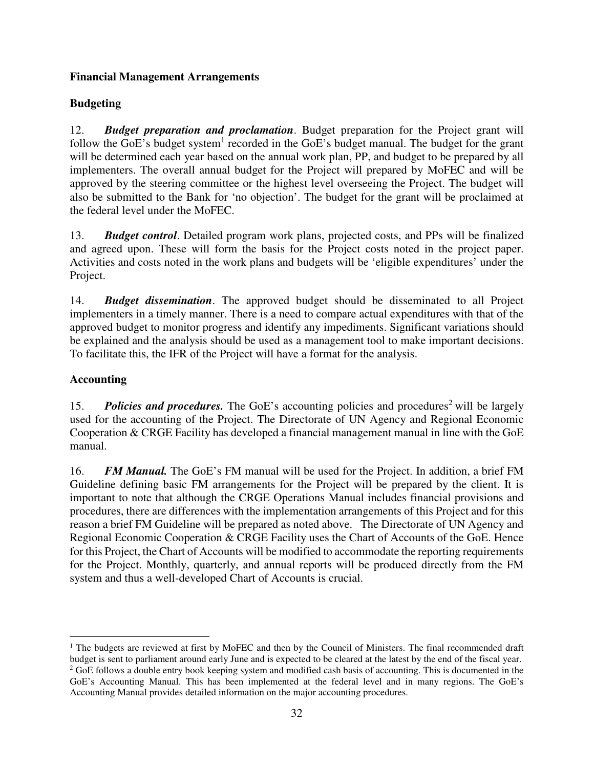## **Financial Management Arrangements**

# **Budgeting**

12. *Budget preparation and proclamation*. Budget preparation for the Project grant will follow the GoE's budget system<sup>1</sup> recorded in the GoE's budget manual. The budget for the grant will be determined each year based on the annual work plan, PP, and budget to be prepared by all implementers. The overall annual budget for the Project will prepared by MoFEC and will be approved by the steering committee or the highest level overseeing the Project. The budget will also be submitted to the Bank for 'no objection'. The budget for the grant will be proclaimed at the federal level under the MoFEC.

13. *Budget control*. Detailed program work plans, projected costs, and PPs will be finalized and agreed upon. These will form the basis for the Project costs noted in the project paper. Activities and costs noted in the work plans and budgets will be 'eligible expenditures' under the Project.

14. *Budget dissemination*. The approved budget should be disseminated to all Project implementers in a timely manner. There is a need to compare actual expenditures with that of the approved budget to monitor progress and identify any impediments. Significant variations should be explained and the analysis should be used as a management tool to make important decisions. To facilitate this, the IFR of the Project will have a format for the analysis.

## **Accounting**

15. **Policies and procedures.** The GoE's accounting policies and procedures<sup>2</sup> will be largely used for the accounting of the Project. The Directorate of UN Agency and Regional Economic Cooperation & CRGE Facility has developed a financial management manual in line with the GoE manual.

16. *FM Manual.* The GoE's FM manual will be used for the Project. In addition, a brief FM Guideline defining basic FM arrangements for the Project will be prepared by the client. It is important to note that although the CRGE Operations Manual includes financial provisions and procedures, there are differences with the implementation arrangements of this Project and for this reason a brief FM Guideline will be prepared as noted above. The Directorate of UN Agency and Regional Economic Cooperation & CRGE Facility uses the Chart of Accounts of the GoE. Hence for this Project, the Chart of Accounts will be modified to accommodate the reporting requirements for the Project. Monthly, quarterly, and annual reports will be produced directly from the FM system and thus a well-developed Chart of Accounts is crucial.

 $\overline{a}$ <sup>1</sup> The budgets are reviewed at first by MoFEC and then by the Council of Ministers. The final recommended draft budget is sent to parliament around early June and is expected to be cleared at the latest by the end of the fiscal year. <sup>2</sup> GoE follows a double entry book keeping system and modified cash basis of accounting. This is documented in the GoE's Accounting Manual. This has been implemented at the federal level and in many regions. The GoE's Accounting Manual provides detailed information on the major accounting procedures.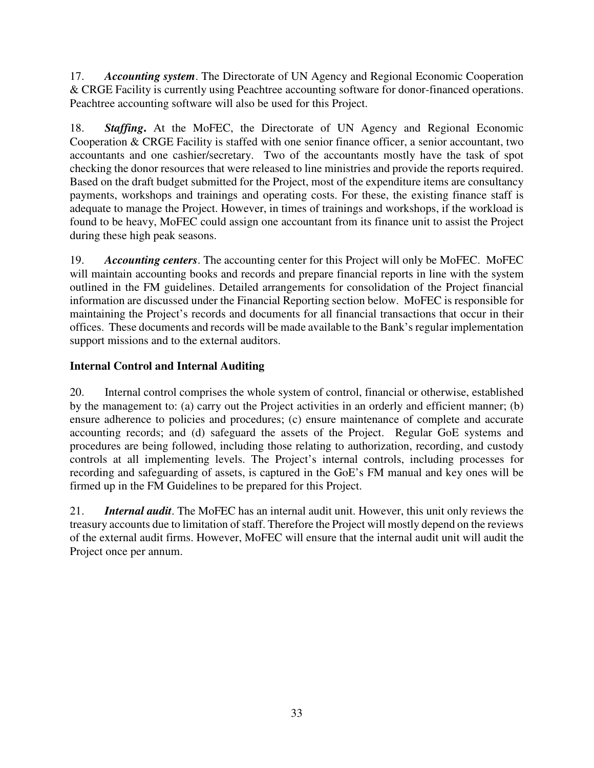17. *Accounting system*. The Directorate of UN Agency and Regional Economic Cooperation & CRGE Facility is currently using Peachtree accounting software for donor-financed operations. Peachtree accounting software will also be used for this Project.

18. *Staffing***.** At the MoFEC, the Directorate of UN Agency and Regional Economic Cooperation & CRGE Facility is staffed with one senior finance officer, a senior accountant, two accountants and one cashier/secretary. Two of the accountants mostly have the task of spot checking the donor resources that were released to line ministries and provide the reports required. Based on the draft budget submitted for the Project, most of the expenditure items are consultancy payments, workshops and trainings and operating costs. For these, the existing finance staff is adequate to manage the Project. However, in times of trainings and workshops, if the workload is found to be heavy, MoFEC could assign one accountant from its finance unit to assist the Project during these high peak seasons.

19. *Accounting centers*. The accounting center for this Project will only be MoFEC. MoFEC will maintain accounting books and records and prepare financial reports in line with the system outlined in the FM guidelines. Detailed arrangements for consolidation of the Project financial information are discussed under the Financial Reporting section below. MoFEC is responsible for maintaining the Project's records and documents for all financial transactions that occur in their offices. These documents and records will be made available to the Bank's regular implementation support missions and to the external auditors.

# **Internal Control and Internal Auditing**

20. Internal control comprises the whole system of control, financial or otherwise, established by the management to: (a) carry out the Project activities in an orderly and efficient manner; (b) ensure adherence to policies and procedures; (c) ensure maintenance of complete and accurate accounting records; and (d) safeguard the assets of the Project. Regular GoE systems and procedures are being followed, including those relating to authorization, recording, and custody controls at all implementing levels. The Project's internal controls, including processes for recording and safeguarding of assets, is captured in the GoE's FM manual and key ones will be firmed up in the FM Guidelines to be prepared for this Project.

21. *Internal audit*. The MoFEC has an internal audit unit. However, this unit only reviews the treasury accounts due to limitation of staff. Therefore the Project will mostly depend on the reviews of the external audit firms. However, MoFEC will ensure that the internal audit unit will audit the Project once per annum.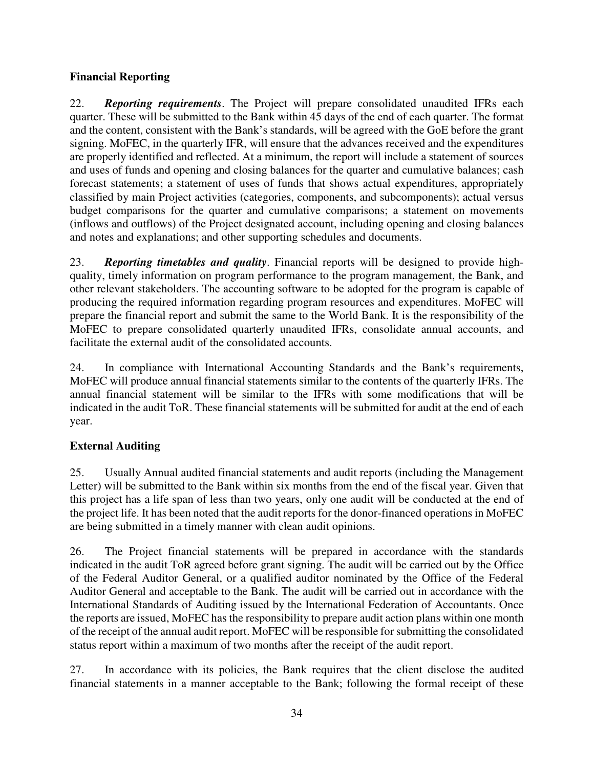### **Financial Reporting**

22. *Reporting requirements*. The Project will prepare consolidated unaudited IFRs each quarter. These will be submitted to the Bank within 45 days of the end of each quarter. The format and the content, consistent with the Bank's standards, will be agreed with the GoE before the grant signing. MoFEC, in the quarterly IFR, will ensure that the advances received and the expenditures are properly identified and reflected. At a minimum, the report will include a statement of sources and uses of funds and opening and closing balances for the quarter and cumulative balances; cash forecast statements; a statement of uses of funds that shows actual expenditures, appropriately classified by main Project activities (categories, components, and subcomponents); actual versus budget comparisons for the quarter and cumulative comparisons; a statement on movements (inflows and outflows) of the Project designated account, including opening and closing balances and notes and explanations; and other supporting schedules and documents.

23. *Reporting timetables and quality*. Financial reports will be designed to provide highquality, timely information on program performance to the program management, the Bank, and other relevant stakeholders. The accounting software to be adopted for the program is capable of producing the required information regarding program resources and expenditures. MoFEC will prepare the financial report and submit the same to the World Bank. It is the responsibility of the MoFEC to prepare consolidated quarterly unaudited IFRs, consolidate annual accounts, and facilitate the external audit of the consolidated accounts.

24. In compliance with International Accounting Standards and the Bank's requirements, MoFEC will produce annual financial statements similar to the contents of the quarterly IFRs. The annual financial statement will be similar to the IFRs with some modifications that will be indicated in the audit ToR. These financial statements will be submitted for audit at the end of each year.

# **External Auditing**

25. Usually Annual audited financial statements and audit reports (including the Management Letter) will be submitted to the Bank within six months from the end of the fiscal year. Given that this project has a life span of less than two years, only one audit will be conducted at the end of the project life. It has been noted that the audit reports for the donor-financed operations in MoFEC are being submitted in a timely manner with clean audit opinions.

26. The Project financial statements will be prepared in accordance with the standards indicated in the audit ToR agreed before grant signing. The audit will be carried out by the Office of the Federal Auditor General, or a qualified auditor nominated by the Office of the Federal Auditor General and acceptable to the Bank. The audit will be carried out in accordance with the International Standards of Auditing issued by the International Federation of Accountants. Once the reports are issued, MoFEC has the responsibility to prepare audit action plans within one month of the receipt of the annual audit report. MoFEC will be responsible for submitting the consolidated status report within a maximum of two months after the receipt of the audit report.

27. In accordance with its policies, the Bank requires that the client disclose the audited financial statements in a manner acceptable to the Bank; following the formal receipt of these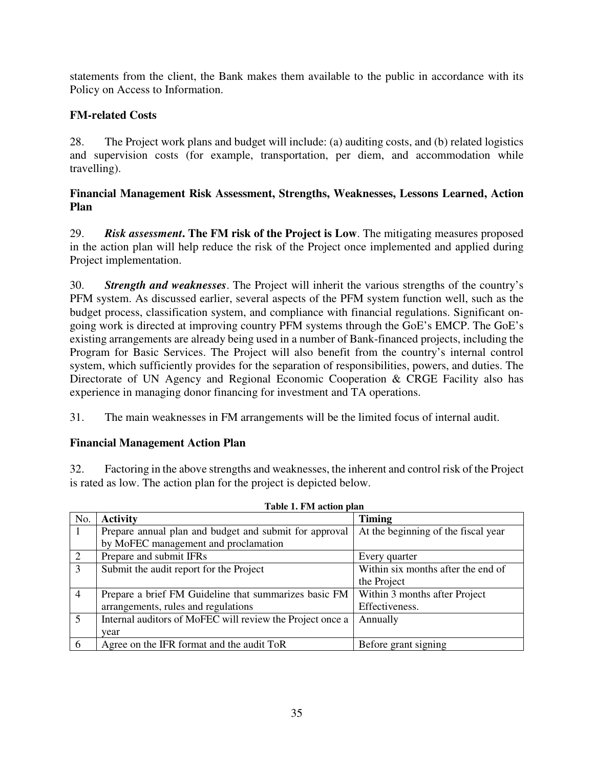statements from the client, the Bank makes them available to the public in accordance with its Policy on Access to Information.

# **FM-related Costs**

28. The Project work plans and budget will include: (a) auditing costs, and (b) related logistics and supervision costs (for example, transportation, per diem, and accommodation while travelling).

## **Financial Management Risk Assessment, Strengths, Weaknesses, Lessons Learned, Action Plan**

29. *Risk assessment***. The FM risk of the Project is Low**. The mitigating measures proposed in the action plan will help reduce the risk of the Project once implemented and applied during Project implementation.

30. *Strength and weaknesses*. The Project will inherit the various strengths of the country's PFM system. As discussed earlier, several aspects of the PFM system function well, such as the budget process, classification system, and compliance with financial regulations. Significant ongoing work is directed at improving country PFM systems through the GoE's EMCP. The GoE's existing arrangements are already being used in a number of Bank-financed projects, including the Program for Basic Services. The Project will also benefit from the country's internal control system, which sufficiently provides for the separation of responsibilities, powers, and duties. The Directorate of UN Agency and Regional Economic Cooperation & CRGE Facility also has experience in managing donor financing for investment and TA operations.

31. The main weaknesses in FM arrangements will be the limited focus of internal audit.

# **Financial Management Action Plan**

32. Factoring in the above strengths and weaknesses, the inherent and control risk of the Project is rated as low. The action plan for the project is depicted below.

|                | Tabic 1. Fiyi acubii pian                                 |                                     |  |  |  |
|----------------|-----------------------------------------------------------|-------------------------------------|--|--|--|
| No.            | <b>Activity</b>                                           | <b>Timing</b>                       |  |  |  |
| -1             | Prepare annual plan and budget and submit for approval    | At the beginning of the fiscal year |  |  |  |
|                | by MoFEC management and proclamation                      |                                     |  |  |  |
| 2              | Prepare and submit IFRs                                   | Every quarter                       |  |  |  |
| 3              | Submit the audit report for the Project                   | Within six months after the end of  |  |  |  |
|                |                                                           | the Project                         |  |  |  |
| $\overline{4}$ | Prepare a brief FM Guideline that summarizes basic FM     | Within 3 months after Project       |  |  |  |
|                | arrangements, rules and regulations                       | Effectiveness.                      |  |  |  |
| 5              | Internal auditors of MoFEC will review the Project once a | Annually                            |  |  |  |
|                | year                                                      |                                     |  |  |  |
| 6              | Agree on the IFR format and the audit ToR                 | Before grant signing                |  |  |  |

**Table 1. FM action plan**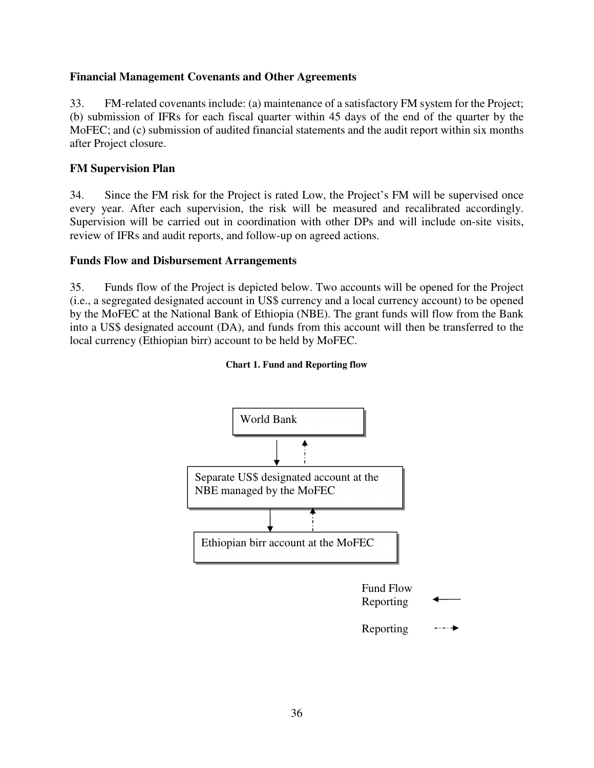#### **Financial Management Covenants and Other Agreements**

33. FM-related covenants include: (a) maintenance of a satisfactory FM system for the Project; (b) submission of IFRs for each fiscal quarter within 45 days of the end of the quarter by the MoFEC; and (c) submission of audited financial statements and the audit report within six months after Project closure.

#### **FM Supervision Plan**

34. Since the FM risk for the Project is rated Low, the Project's FM will be supervised once every year. After each supervision, the risk will be measured and recalibrated accordingly. Supervision will be carried out in coordination with other DPs and will include on-site visits, review of IFRs and audit reports, and follow-up on agreed actions.

#### **Funds Flow and Disbursement Arrangements**

35. Funds flow of the Project is depicted below. Two accounts will be opened for the Project (i.e., a segregated designated account in US\$ currency and a local currency account) to be opened by the MoFEC at the National Bank of Ethiopia (NBE). The grant funds will flow from the Bank into a US\$ designated account (DA), and funds from this account will then be transferred to the local currency (Ethiopian birr) account to be held by MoFEC.



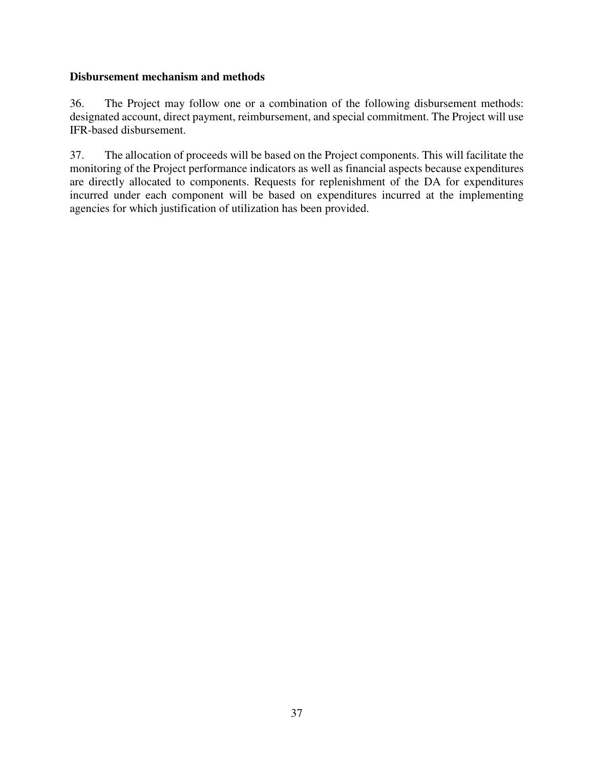#### **Disbursement mechanism and methods**

36. The Project may follow one or a combination of the following disbursement methods: designated account, direct payment, reimbursement, and special commitment. The Project will use IFR-based disbursement.

37. The allocation of proceeds will be based on the Project components. This will facilitate the monitoring of the Project performance indicators as well as financial aspects because expenditures are directly allocated to components. Requests for replenishment of the DA for expenditures incurred under each component will be based on expenditures incurred at the implementing agencies for which justification of utilization has been provided.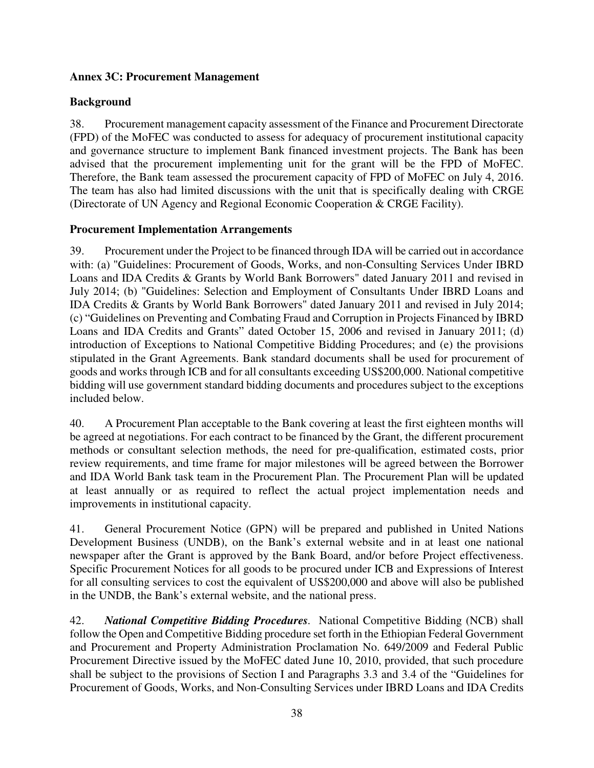### **Annex 3C: Procurement Management**

#### **Background**

38. Procurement management capacity assessment of the Finance and Procurement Directorate (FPD) of the MoFEC was conducted to assess for adequacy of procurement institutional capacity and governance structure to implement Bank financed investment projects. The Bank has been advised that the procurement implementing unit for the grant will be the FPD of MoFEC. Therefore, the Bank team assessed the procurement capacity of FPD of MoFEC on July 4, 2016. The team has also had limited discussions with the unit that is specifically dealing with CRGE (Directorate of UN Agency and Regional Economic Cooperation & CRGE Facility).

#### **Procurement Implementation Arrangements**

39. Procurement under the Project to be financed through IDA will be carried out in accordance with: (a) "Guidelines: Procurement of Goods, Works, and non-Consulting Services Under IBRD Loans and IDA Credits & Grants by World Bank Borrowers" dated January 2011 and revised in July 2014; (b) "Guidelines: Selection and Employment of Consultants Under IBRD Loans and IDA Credits & Grants by World Bank Borrowers" dated January 2011 and revised in July 2014; (c) "Guidelines on Preventing and Combating Fraud and Corruption in Projects Financed by IBRD Loans and IDA Credits and Grants" dated October 15, 2006 and revised in January 2011; (d) introduction of Exceptions to National Competitive Bidding Procedures; and (e) the provisions stipulated in the Grant Agreements. Bank standard documents shall be used for procurement of goods and works through ICB and for all consultants exceeding US\$200,000. National competitive bidding will use government standard bidding documents and procedures subject to the exceptions included below.

40. A Procurement Plan acceptable to the Bank covering at least the first eighteen months will be agreed at negotiations. For each contract to be financed by the Grant, the different procurement methods or consultant selection methods, the need for pre-qualification, estimated costs, prior review requirements, and time frame for major milestones will be agreed between the Borrower and IDA World Bank task team in the Procurement Plan. The Procurement Plan will be updated at least annually or as required to reflect the actual project implementation needs and improvements in institutional capacity.

41. General Procurement Notice (GPN) will be prepared and published in United Nations Development Business (UNDB), on the Bank's external website and in at least one national newspaper after the Grant is approved by the Bank Board, and/or before Project effectiveness. Specific Procurement Notices for all goods to be procured under ICB and Expressions of Interest for all consulting services to cost the equivalent of US\$200,000 and above will also be published in the UNDB, the Bank's external website, and the national press.

42. *National Competitive Bidding Procedures.* National Competitive Bidding (NCB) shall follow the Open and Competitive Bidding procedure set forth in the Ethiopian Federal Government and Procurement and Property Administration Proclamation No. 649/2009 and Federal Public Procurement Directive issued by the MoFEC dated June 10, 2010, provided, that such procedure shall be subject to the provisions of Section I and Paragraphs 3.3 and 3.4 of the "Guidelines for Procurement of Goods, Works, and Non-Consulting Services under IBRD Loans and IDA Credits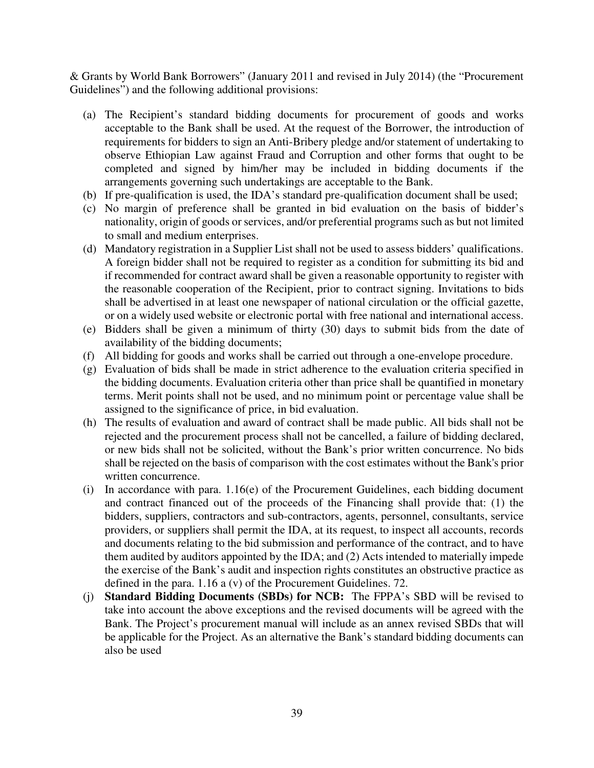& Grants by World Bank Borrowers" (January 2011 and revised in July 2014) (the "Procurement Guidelines") and the following additional provisions:

- (a) The Recipient's standard bidding documents for procurement of goods and works acceptable to the Bank shall be used. At the request of the Borrower, the introduction of requirements for bidders to sign an Anti-Bribery pledge and/or statement of undertaking to observe Ethiopian Law against Fraud and Corruption and other forms that ought to be completed and signed by him/her may be included in bidding documents if the arrangements governing such undertakings are acceptable to the Bank.
- (b) If pre-qualification is used, the IDA's standard pre-qualification document shall be used;
- (c) No margin of preference shall be granted in bid evaluation on the basis of bidder's nationality, origin of goods or services, and/or preferential programs such as but not limited to small and medium enterprises.
- (d) Mandatory registration in a Supplier List shall not be used to assess bidders' qualifications. A foreign bidder shall not be required to register as a condition for submitting its bid and if recommended for contract award shall be given a reasonable opportunity to register with the reasonable cooperation of the Recipient, prior to contract signing. Invitations to bids shall be advertised in at least one newspaper of national circulation or the official gazette, or on a widely used website or electronic portal with free national and international access.
- (e) Bidders shall be given a minimum of thirty (30) days to submit bids from the date of availability of the bidding documents;
- (f) All bidding for goods and works shall be carried out through a one-envelope procedure.
- (g) Evaluation of bids shall be made in strict adherence to the evaluation criteria specified in the bidding documents. Evaluation criteria other than price shall be quantified in monetary terms. Merit points shall not be used, and no minimum point or percentage value shall be assigned to the significance of price, in bid evaluation.
- (h) The results of evaluation and award of contract shall be made public. All bids shall not be rejected and the procurement process shall not be cancelled, a failure of bidding declared, or new bids shall not be solicited, without the Bank's prior written concurrence. No bids shall be rejected on the basis of comparison with the cost estimates without the Bank's prior written concurrence.
- (i) In accordance with para. 1.16(e) of the Procurement Guidelines, each bidding document and contract financed out of the proceeds of the Financing shall provide that: (1) the bidders, suppliers, contractors and sub-contractors, agents, personnel, consultants, service providers, or suppliers shall permit the IDA, at its request, to inspect all accounts, records and documents relating to the bid submission and performance of the contract, and to have them audited by auditors appointed by the IDA; and (2) Acts intended to materially impede the exercise of the Bank's audit and inspection rights constitutes an obstructive practice as defined in the para. 1.16 a (v) of the Procurement Guidelines. 72.
- (j) **Standard Bidding Documents (SBDs) for NCB:** The FPPA's SBD will be revised to take into account the above exceptions and the revised documents will be agreed with the Bank. The Project's procurement manual will include as an annex revised SBDs that will be applicable for the Project. As an alternative the Bank's standard bidding documents can also be used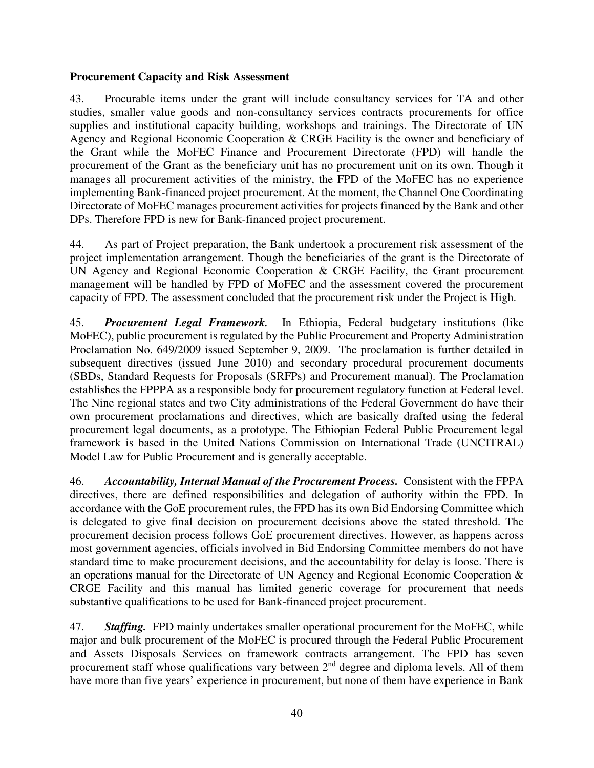#### **Procurement Capacity and Risk Assessment**

43. Procurable items under the grant will include consultancy services for TA and other studies, smaller value goods and non-consultancy services contracts procurements for office supplies and institutional capacity building, workshops and trainings. The Directorate of UN Agency and Regional Economic Cooperation & CRGE Facility is the owner and beneficiary of the Grant while the MoFEC Finance and Procurement Directorate (FPD) will handle the procurement of the Grant as the beneficiary unit has no procurement unit on its own. Though it manages all procurement activities of the ministry, the FPD of the MoFEC has no experience implementing Bank-financed project procurement. At the moment, the Channel One Coordinating Directorate of MoFEC manages procurement activities for projects financed by the Bank and other DPs. Therefore FPD is new for Bank-financed project procurement.

44. As part of Project preparation, the Bank undertook a procurement risk assessment of the project implementation arrangement. Though the beneficiaries of the grant is the Directorate of UN Agency and Regional Economic Cooperation & CRGE Facility, the Grant procurement management will be handled by FPD of MoFEC and the assessment covered the procurement capacity of FPD. The assessment concluded that the procurement risk under the Project is High.

45. *Procurement Legal Framework.* In Ethiopia, Federal budgetary institutions (like MoFEC), public procurement is regulated by the Public Procurement and Property Administration Proclamation No. 649/2009 issued September 9, 2009. The proclamation is further detailed in subsequent directives (issued June 2010) and secondary procedural procurement documents (SBDs, Standard Requests for Proposals (SRFPs) and Procurement manual). The Proclamation establishes the FPPPA as a responsible body for procurement regulatory function at Federal level. The Nine regional states and two City administrations of the Federal Government do have their own procurement proclamations and directives, which are basically drafted using the federal procurement legal documents, as a prototype. The Ethiopian Federal Public Procurement legal framework is based in the United Nations Commission on International Trade (UNCITRAL) Model Law for Public Procurement and is generally acceptable.

46. *Accountability, Internal Manual of the Procurement Process.* Consistent with the FPPA directives, there are defined responsibilities and delegation of authority within the FPD. In accordance with the GoE procurement rules, the FPD has its own Bid Endorsing Committee which is delegated to give final decision on procurement decisions above the stated threshold. The procurement decision process follows GoE procurement directives. However, as happens across most government agencies, officials involved in Bid Endorsing Committee members do not have standard time to make procurement decisions, and the accountability for delay is loose. There is an operations manual for the Directorate of UN Agency and Regional Economic Cooperation & CRGE Facility and this manual has limited generic coverage for procurement that needs substantive qualifications to be used for Bank-financed project procurement.

47. *Staffing.*FPD mainly undertakes smaller operational procurement for the MoFEC, while major and bulk procurement of the MoFEC is procured through the Federal Public Procurement and Assets Disposals Services on framework contracts arrangement. The FPD has seven procurement staff whose qualifications vary between  $2<sup>nd</sup>$  degree and diploma levels. All of them have more than five years' experience in procurement, but none of them have experience in Bank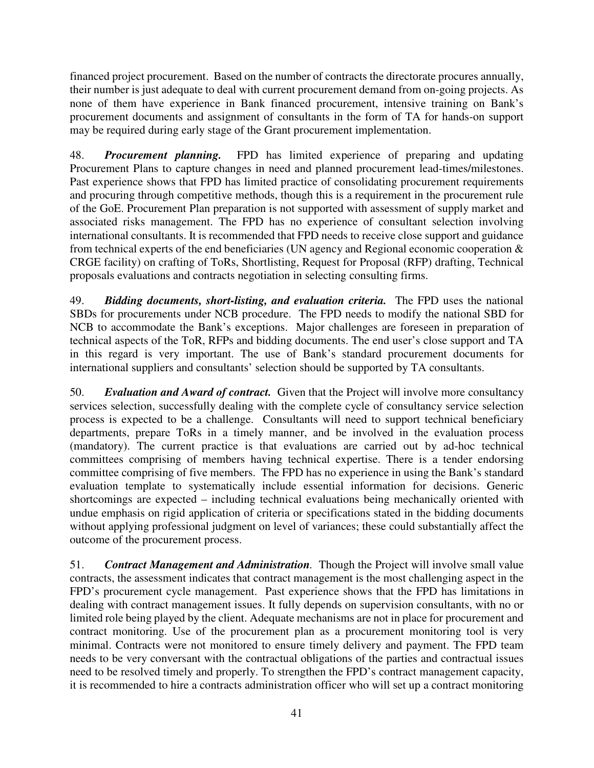financed project procurement. Based on the number of contracts the directorate procures annually, their number is just adequate to deal with current procurement demand from on-going projects. As none of them have experience in Bank financed procurement, intensive training on Bank's procurement documents and assignment of consultants in the form of TA for hands-on support may be required during early stage of the Grant procurement implementation.

48. *Procurement planning.*FPD has limited experience of preparing and updating Procurement Plans to capture changes in need and planned procurement lead-times/milestones. Past experience shows that FPD has limited practice of consolidating procurement requirements and procuring through competitive methods, though this is a requirement in the procurement rule of the GoE. Procurement Plan preparation is not supported with assessment of supply market and associated risks management. The FPD has no experience of consultant selection involving international consultants. It is recommended that FPD needs to receive close support and guidance from technical experts of the end beneficiaries (UN agency and Regional economic cooperation & CRGE facility) on crafting of ToRs, Shortlisting, Request for Proposal (RFP) drafting, Technical proposals evaluations and contracts negotiation in selecting consulting firms.

49. *Bidding documents, short-listing, and evaluation criteria.*The FPD uses the national SBDs for procurements under NCB procedure. The FPD needs to modify the national SBD for NCB to accommodate the Bank's exceptions. Major challenges are foreseen in preparation of technical aspects of the ToR, RFPs and bidding documents. The end user's close support and TA in this regard is very important. The use of Bank's standard procurement documents for international suppliers and consultants' selection should be supported by TA consultants.

50. *Evaluation and Award of contract.* Given that the Project will involve more consultancy services selection, successfully dealing with the complete cycle of consultancy service selection process is expected to be a challenge. Consultants will need to support technical beneficiary departments, prepare ToRs in a timely manner, and be involved in the evaluation process (mandatory). The current practice is that evaluations are carried out by ad-hoc technical committees comprising of members having technical expertise. There is a tender endorsing committee comprising of five members. The FPD has no experience in using the Bank's standard evaluation template to systematically include essential information for decisions. Generic shortcomings are expected – including technical evaluations being mechanically oriented with undue emphasis on rigid application of criteria or specifications stated in the bidding documents without applying professional judgment on level of variances; these could substantially affect the outcome of the procurement process.

51. *Contract Management and Administration.* Though the Project will involve small value contracts, the assessment indicates that contract management is the most challenging aspect in the FPD's procurement cycle management. Past experience shows that the FPD has limitations in dealing with contract management issues. It fully depends on supervision consultants, with no or limited role being played by the client. Adequate mechanisms are not in place for procurement and contract monitoring. Use of the procurement plan as a procurement monitoring tool is very minimal. Contracts were not monitored to ensure timely delivery and payment. The FPD team needs to be very conversant with the contractual obligations of the parties and contractual issues need to be resolved timely and properly. To strengthen the FPD's contract management capacity, it is recommended to hire a contracts administration officer who will set up a contract monitoring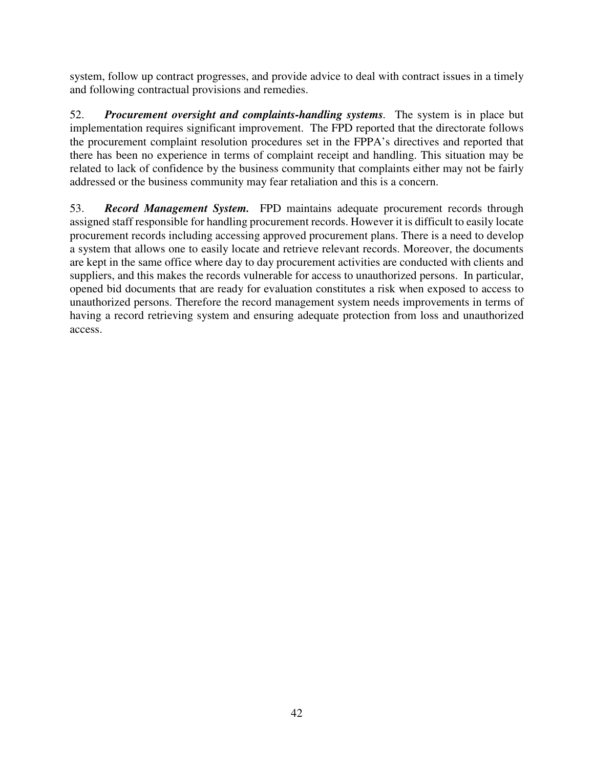system, follow up contract progresses, and provide advice to deal with contract issues in a timely and following contractual provisions and remedies.

52. *Procurement oversight and complaints-handling systems.* The system is in place but implementation requires significant improvement. The FPD reported that the directorate follows the procurement complaint resolution procedures set in the FPPA's directives and reported that there has been no experience in terms of complaint receipt and handling. This situation may be related to lack of confidence by the business community that complaints either may not be fairly addressed or the business community may fear retaliation and this is a concern.

53. *Record Management System.* FPD maintains adequate procurement records through assigned staff responsible for handling procurement records. However it is difficult to easily locate procurement records including accessing approved procurement plans. There is a need to develop a system that allows one to easily locate and retrieve relevant records. Moreover, the documents are kept in the same office where day to day procurement activities are conducted with clients and suppliers, and this makes the records vulnerable for access to unauthorized persons. In particular, opened bid documents that are ready for evaluation constitutes a risk when exposed to access to unauthorized persons. Therefore the record management system needs improvements in terms of having a record retrieving system and ensuring adequate protection from loss and unauthorized access.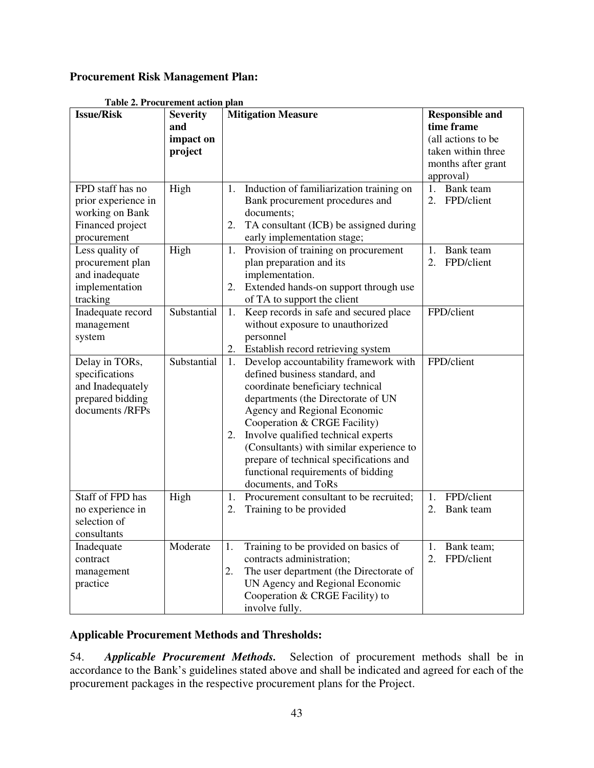### **Procurement Risk Management Plan:**

| <b>Issue/Risk</b>   | <b>Table 2. Procurement action plan</b><br><b>Severity</b> | <b>Mitigation Measure</b>                      |                                      |
|---------------------|------------------------------------------------------------|------------------------------------------------|--------------------------------------|
|                     | and                                                        |                                                | <b>Responsible and</b><br>time frame |
|                     | impact on                                                  |                                                | (all actions to be                   |
|                     |                                                            |                                                | taken within three                   |
|                     | project                                                    |                                                | months after grant                   |
|                     |                                                            |                                                |                                      |
| FPD staff has no    | High                                                       | Induction of familiarization training on<br>1. | approval)<br>Bank team<br>1.         |
| prior experience in |                                                            | Bank procurement procedures and                | FPD/client<br>2.                     |
| working on Bank     |                                                            | documents;                                     |                                      |
| Financed project    |                                                            | TA consultant (ICB) be assigned during<br>2.   |                                      |
| procurement         |                                                            | early implementation stage;                    |                                      |
| Less quality of     | High                                                       | Provision of training on procurement<br>1.     | Bank team<br>1.                      |
| procurement plan    |                                                            | plan preparation and its                       | 2.<br>FPD/client                     |
| and inadequate      |                                                            | implementation.                                |                                      |
| implementation      |                                                            | Extended hands-on support through use<br>2.    |                                      |
| tracking            |                                                            | of TA to support the client                    |                                      |
| Inadequate record   | Substantial                                                | Keep records in safe and secured place<br>1.   | FPD/client                           |
| management          |                                                            | without exposure to unauthorized               |                                      |
| system              |                                                            | personnel                                      |                                      |
|                     |                                                            | Establish record retrieving system<br>2.       |                                      |
| Delay in TORs,      | Substantial                                                | Develop accountability framework with<br>1.    | FPD/client                           |
| specifications      |                                                            | defined business standard, and                 |                                      |
| and Inadequately    |                                                            | coordinate beneficiary technical               |                                      |
| prepared bidding    |                                                            | departments (the Directorate of UN             |                                      |
| documents /RFPs     |                                                            | Agency and Regional Economic                   |                                      |
|                     |                                                            | Cooperation & CRGE Facility)                   |                                      |
|                     |                                                            | Involve qualified technical experts<br>2.      |                                      |
|                     |                                                            | (Consultants) with similar experience to       |                                      |
|                     |                                                            | prepare of technical specifications and        |                                      |
|                     |                                                            | functional requirements of bidding             |                                      |
|                     |                                                            | documents, and ToRs                            |                                      |
| Staff of FPD has    | High                                                       | 1.<br>Procurement consultant to be recruited;  | FPD/client<br>1.                     |
| no experience in    |                                                            | Training to be provided<br>2.                  | Bank team<br>2.                      |
| selection of        |                                                            |                                                |                                      |
| consultants         |                                                            |                                                |                                      |
| Inadequate          | Moderate                                                   | Training to be provided on basics of<br>1.     | Bank team;<br>1.                     |
| contract            |                                                            | contracts administration;                      | FPD/client<br>2.                     |
| management          |                                                            | The user department (the Directorate of<br>2.  |                                      |
| practice            |                                                            | UN Agency and Regional Economic                |                                      |
|                     |                                                            | Cooperation & CRGE Facility) to                |                                      |
|                     |                                                            | involve fully.                                 |                                      |

## **Table 2. Procurement action plan**

#### **Applicable Procurement Methods and Thresholds:**

54. *Applicable Procurement Methods.* Selection of procurement methods shall be in accordance to the Bank's guidelines stated above and shall be indicated and agreed for each of the procurement packages in the respective procurement plans for the Project.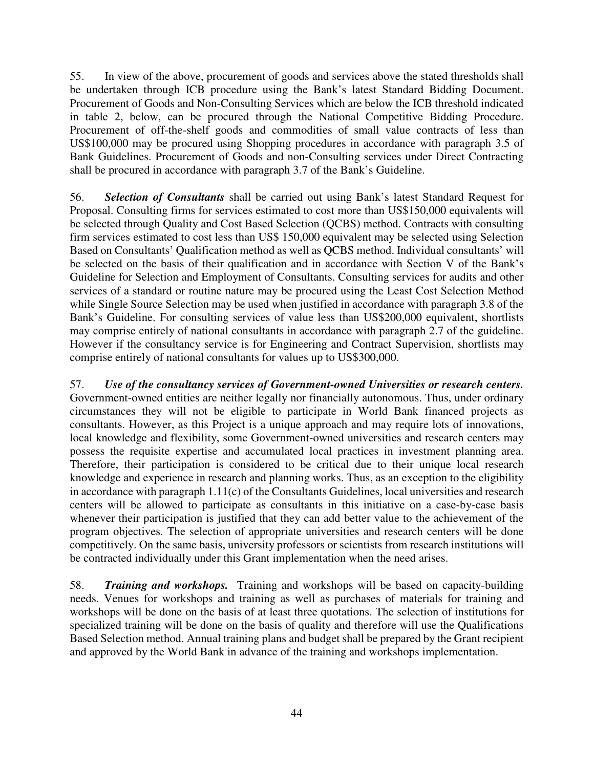55. In view of the above, procurement of goods and services above the stated thresholds shall be undertaken through ICB procedure using the Bank's latest Standard Bidding Document. Procurement of Goods and Non-Consulting Services which are below the ICB threshold indicated in table 2, below, can be procured through the National Competitive Bidding Procedure. Procurement of off-the-shelf goods and commodities of small value contracts of less than US\$100,000 may be procured using Shopping procedures in accordance with paragraph 3.5 of Bank Guidelines. Procurement of Goods and non-Consulting services under Direct Contracting shall be procured in accordance with paragraph 3.7 of the Bank's Guideline.

56. *Selection of Consultants* shall be carried out using Bank's latest Standard Request for Proposal. Consulting firms for services estimated to cost more than US\$150,000 equivalents will be selected through Quality and Cost Based Selection (QCBS) method. Contracts with consulting firm services estimated to cost less than US\$ 150,000 equivalent may be selected using Selection Based on Consultants' Qualification method as well as QCBS method. Individual consultants' will be selected on the basis of their qualification and in accordance with Section V of the Bank's Guideline for Selection and Employment of Consultants. Consulting services for audits and other services of a standard or routine nature may be procured using the Least Cost Selection Method while Single Source Selection may be used when justified in accordance with paragraph 3.8 of the Bank's Guideline. For consulting services of value less than US\$200,000 equivalent, shortlists may comprise entirely of national consultants in accordance with paragraph 2.7 of the guideline. However if the consultancy service is for Engineering and Contract Supervision, shortlists may comprise entirely of national consultants for values up to US\$300,000.

57. *Use of the consultancy services of Government-owned Universities or research centers.* Government-owned entities are neither legally nor financially autonomous. Thus, under ordinary circumstances they will not be eligible to participate in World Bank financed projects as consultants. However, as this Project is a unique approach and may require lots of innovations, local knowledge and flexibility, some Government-owned universities and research centers may possess the requisite expertise and accumulated local practices in investment planning area. Therefore, their participation is considered to be critical due to their unique local research knowledge and experience in research and planning works. Thus, as an exception to the eligibility in accordance with paragraph 1.11(c) of the Consultants Guidelines, local universities and research centers will be allowed to participate as consultants in this initiative on a case-by-case basis whenever their participation is justified that they can add better value to the achievement of the program objectives. The selection of appropriate universities and research centers will be done competitively. On the same basis, university professors or scientists from research institutions will be contracted individually under this Grant implementation when the need arises.

58. *Training and workshops.* Training and workshops will be based on capacity-building needs. Venues for workshops and training as well as purchases of materials for training and workshops will be done on the basis of at least three quotations. The selection of institutions for specialized training will be done on the basis of quality and therefore will use the Qualifications Based Selection method. Annual training plans and budget shall be prepared by the Grant recipient and approved by the World Bank in advance of the training and workshops implementation.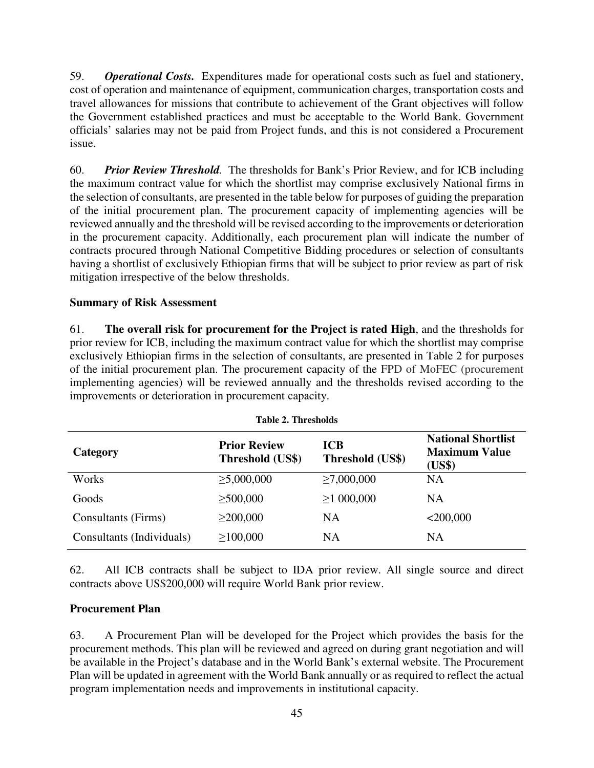59. *Operational Costs.* Expenditures made for operational costs such as fuel and stationery, cost of operation and maintenance of equipment, communication charges, transportation costs and travel allowances for missions that contribute to achievement of the Grant objectives will follow the Government established practices and must be acceptable to the World Bank. Government officials' salaries may not be paid from Project funds, and this is not considered a Procurement issue.

60. *Prior Review Threshold.* The thresholds for Bank's Prior Review, and for ICB including the maximum contract value for which the shortlist may comprise exclusively National firms in the selection of consultants, are presented in the table below for purposes of guiding the preparation of the initial procurement plan. The procurement capacity of implementing agencies will be reviewed annually and the threshold will be revised according to the improvements or deterioration in the procurement capacity. Additionally, each procurement plan will indicate the number of contracts procured through National Competitive Bidding procedures or selection of consultants having a shortlist of exclusively Ethiopian firms that will be subject to prior review as part of risk mitigation irrespective of the below thresholds.

#### **Summary of Risk Assessment**

61. **The overall risk for procurement for the Project is rated High**, and the thresholds for prior review for ICB, including the maximum contract value for which the shortlist may comprise exclusively Ethiopian firms in the selection of consultants, are presented in Table 2 for purposes of the initial procurement plan. The procurement capacity of the FPD of MoFEC (procurement implementing agencies) will be reviewed annually and the thresholds revised according to the improvements or deterioration in procurement capacity.

| <b>Table 2. Thresholds</b> |                                         |                                |                                                             |  |  |
|----------------------------|-----------------------------------------|--------------------------------|-------------------------------------------------------------|--|--|
| Category                   | <b>Prior Review</b><br>Threshold (US\$) | <b>ICB</b><br>Threshold (US\$) | <b>National Shortlist</b><br><b>Maximum Value</b><br>(US\$) |  |  |
| Works                      | $\geq 5,000,000$                        | $\geq 7,000,000$               | <b>NA</b>                                                   |  |  |
| Goods                      | $\geq 500,000$                          | $\geq$ 1 000,000               | NA                                                          |  |  |
| Consultants (Firms)        | $\geq$ 200,000                          | NA                             | $<$ 200,000                                                 |  |  |
| Consultants (Individuals)  | $\geq 100,000$                          | NA                             | NA                                                          |  |  |

62. All ICB contracts shall be subject to IDA prior review. All single source and direct contracts above US\$200,000 will require World Bank prior review.

### **Procurement Plan**

63. A Procurement Plan will be developed for the Project which provides the basis for the procurement methods. This plan will be reviewed and agreed on during grant negotiation and will be available in the Project's database and in the World Bank's external website. The Procurement Plan will be updated in agreement with the World Bank annually or as required to reflect the actual program implementation needs and improvements in institutional capacity.